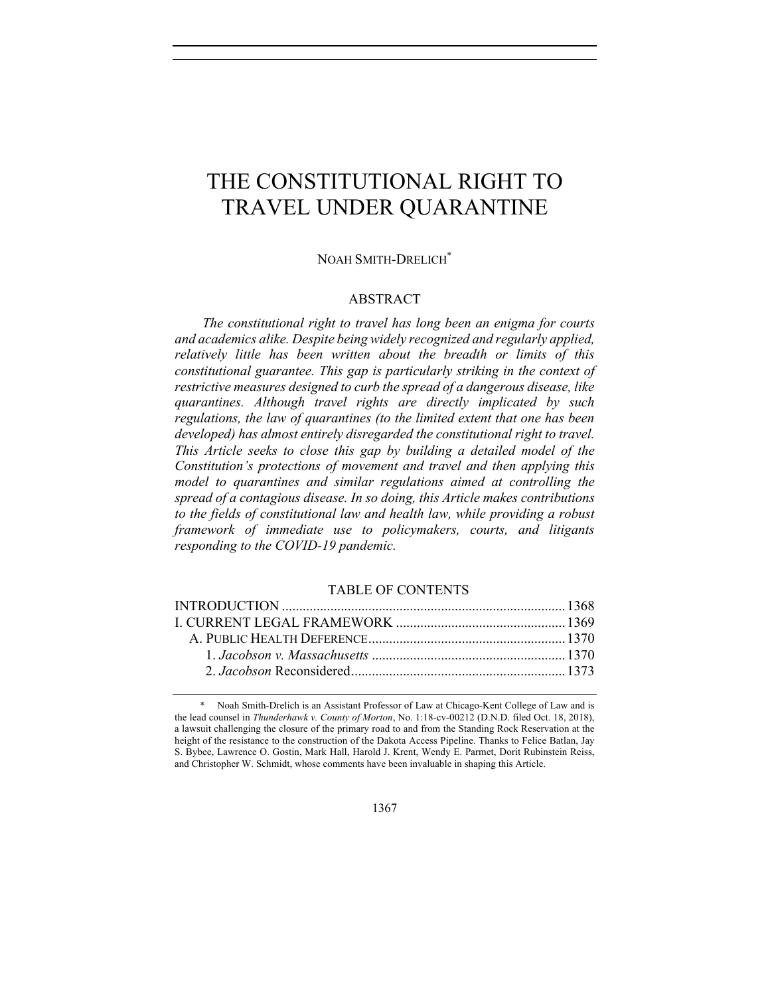# THE CONSTITUTIONAL RIGHT TO TRAVEL UNDER QUARANTINE

#### NOAH SMITH-DRELICH\*

#### ABSTRACT

*The constitutional right to travel has long been an enigma for courts and academics alike. Despite being widely recognized and regularly applied, relatively little has been written about the breadth or limits of this constitutional guarantee. This gap is particularly striking in the context of restrictive measures designed to curb the spread of a dangerous disease, like quarantines. Although travel rights are directly implicated by such regulations, the law of quarantines (to the limited extent that one has been developed) has almost entirely disregarded the constitutional right to travel. This Article seeks to close this gap by building a detailed model of the Constitution's protections of movement and travel and then applying this model to quarantines and similar regulations aimed at controlling the spread of a contagious disease. In so doing, this Article makes contributions to the fields of constitutional law and health law, while providing a robust framework of immediate use to policymakers, courts, and litigants responding to the COVID-19 pandemic.* 

# TABLE OF CONTENTS

<sup>\*</sup> Noah Smith-Drelich is an Assistant Professor of Law at Chicago-Kent College of Law and is the lead counsel in *Thunderhawk v. County of Morton*, No. 1:18-cv-00212 (D.N.D. filed Oct. 18, 2018), a lawsuit challenging the closure of the primary road to and from the Standing Rock Reservation at the height of the resistance to the construction of the Dakota Access Pipeline. Thanks to Felice Batlan, Jay S. Bybee, Lawrence O. Gostin, Mark Hall, Harold J. Krent, Wendy E. Parmet, Dorit Rubinstein Reiss, and Christopher W. Schmidt, whose comments have been invaluable in shaping this Article.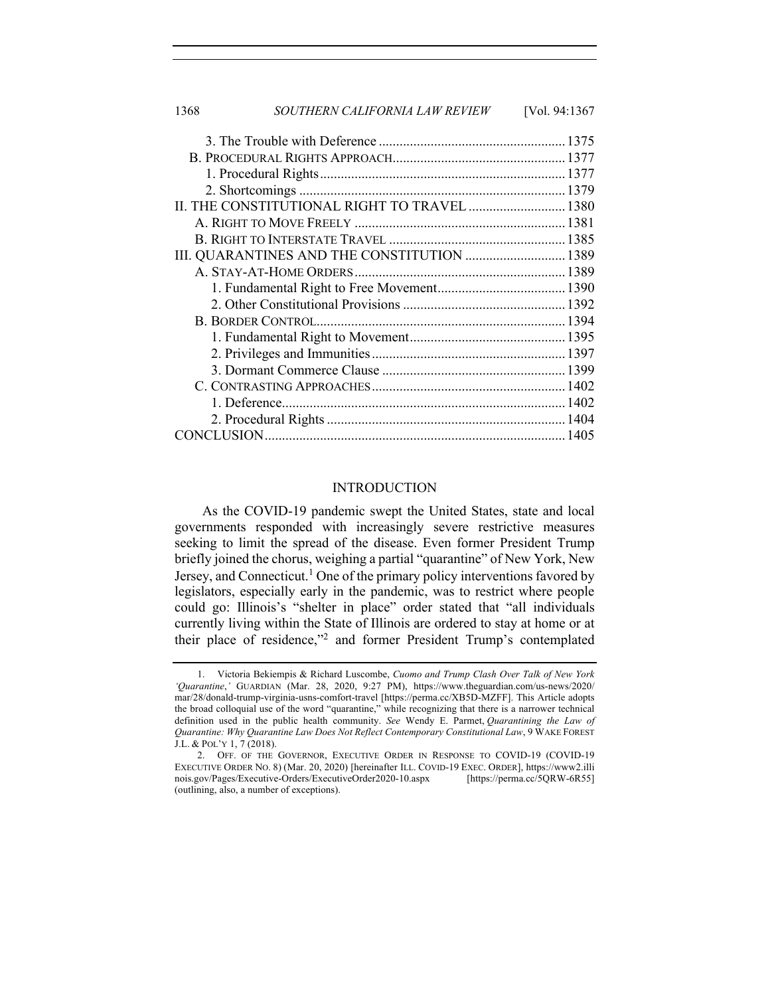| 1368 | SOUTHERN CALIFORNIA LAW REVIEW               | [Vol. 94:1367 |
|------|----------------------------------------------|---------------|
|      |                                              |               |
|      |                                              |               |
|      |                                              |               |
|      |                                              |               |
|      | II. THE CONSTITUTIONAL RIGHT TO TRAVEL  1380 |               |
|      |                                              |               |
|      |                                              |               |
|      | III. QUARANTINES AND THE CONSTITUTION  1389  |               |
|      |                                              |               |
|      |                                              |               |
|      |                                              |               |
|      |                                              |               |
|      |                                              |               |
|      |                                              |               |
|      |                                              |               |
|      |                                              |               |
|      |                                              |               |
|      |                                              |               |
|      |                                              |               |

#### INTRODUCTION

As the COVID-19 pandemic swept the United States, state and local governments responded with increasingly severe restrictive measures seeking to limit the spread of the disease. Even former President Trump briefly joined the chorus, weighing a partial "quarantine" of New York, New Jersey, and Connecticut.<sup>1</sup> One of the primary policy interventions favored by legislators, especially early in the pandemic, was to restrict where people could go: Illinois's "shelter in place" order stated that "all individuals currently living within the State of Illinois are ordered to stay at home or at their place of residence,"2 and former President Trump's contemplated

<sup>1.</sup> Victoria Bekiempis & Richard Luscombe, *Cuomo and Trump Clash Over Talk of New York 'Quarantine*,*'* GUARDIAN (Mar. 28, 2020, 9:27 PM), https://www.theguardian.com/us-news/2020/ mar/28/donald-trump-virginia-usns-comfort-travel [https://perma.cc/XB5D-MZFF]. This Article adopts the broad colloquial use of the word "quarantine," while recognizing that there is a narrower technical definition used in the public health community. *See* Wendy E. Parmet, *Quarantining the Law of Quarantine: Why Quarantine Law Does Not Reflect Contemporary Constitutional Law*, 9 WAKE FOREST J.L. & POL'Y 1, 7 (2018).

<sup>2.</sup> OFF. OF THE GOVERNOR, EXECUTIVE ORDER IN RESPONSE TO COVID-19 (COVID-19 EXECUTIVE ORDER NO. 8) (Mar. 20, 2020) [hereinafter ILL. COVID-19 EXEC. ORDER], https://www2.illi nois.gov/Pages/Executive-Orders/ExecutiveOrder2020-10.aspx [https://perma.cc/5QRW-6R55] (outlining, also, a number of exceptions).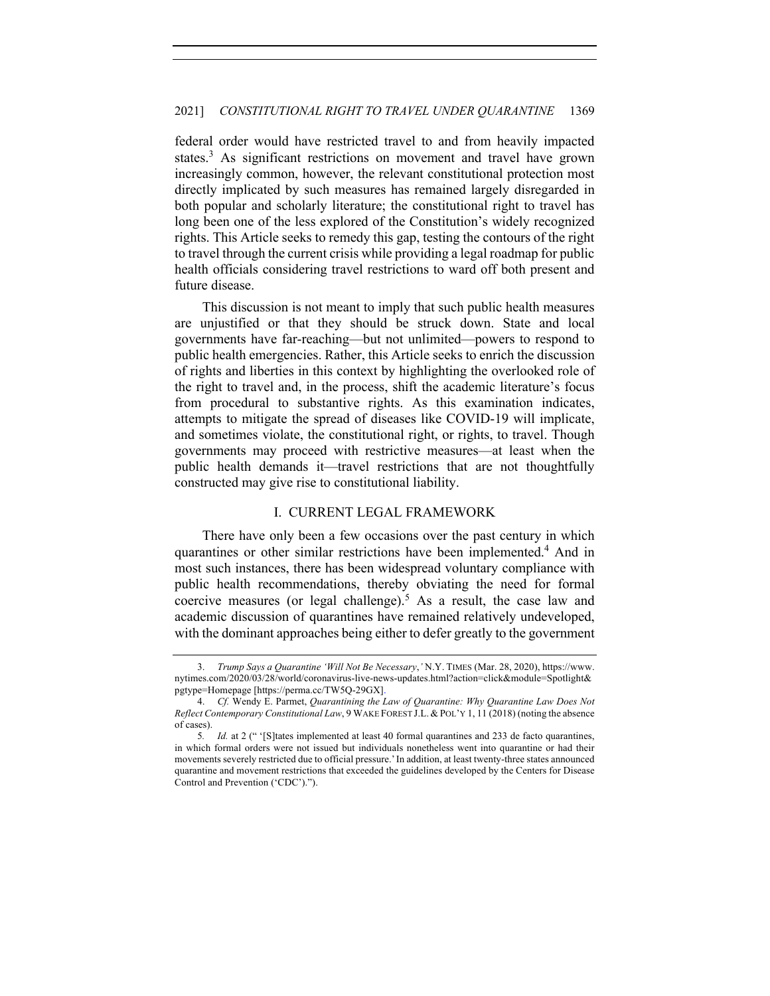federal order would have restricted travel to and from heavily impacted states.<sup>3</sup> As significant restrictions on movement and travel have grown increasingly common, however, the relevant constitutional protection most directly implicated by such measures has remained largely disregarded in both popular and scholarly literature; the constitutional right to travel has long been one of the less explored of the Constitution's widely recognized rights. This Article seeks to remedy this gap, testing the contours of the right to travel through the current crisis while providing a legal roadmap for public health officials considering travel restrictions to ward off both present and future disease.

This discussion is not meant to imply that such public health measures are unjustified or that they should be struck down. State and local governments have far-reaching—but not unlimited—powers to respond to public health emergencies. Rather, this Article seeks to enrich the discussion of rights and liberties in this context by highlighting the overlooked role of the right to travel and, in the process, shift the academic literature's focus from procedural to substantive rights. As this examination indicates, attempts to mitigate the spread of diseases like COVID-19 will implicate, and sometimes violate, the constitutional right, or rights, to travel. Though governments may proceed with restrictive measures—at least when the public health demands it—travel restrictions that are not thoughtfully constructed may give rise to constitutional liability.

## I. CURRENT LEGAL FRAMEWORK

There have only been a few occasions over the past century in which quarantines or other similar restrictions have been implemented.4 And in most such instances, there has been widespread voluntary compliance with public health recommendations, thereby obviating the need for formal coercive measures (or legal challenge).<sup>5</sup> As a result, the case law and academic discussion of quarantines have remained relatively undeveloped, with the dominant approaches being either to defer greatly to the government

<sup>3.</sup> *Trump Says a Quarantine 'Will Not Be Necessary*,*'* N.Y. TIMES (Mar. 28, 2020), https://www. nytimes.com/2020/03/28/world/coronavirus-live-news-updates.html?action=click&module=Spotlight& pgtype=Homepage [https://perma.cc/TW5Q-29GX].

<sup>4.</sup> *Cf.* Wendy E. Parmet, *Quarantining the Law of Quarantine: Why Quarantine Law Does Not Reflect Contemporary Constitutional Law*, 9 WAKE FOREST J.L. & POL'Y 1, 11 (2018) (noting the absence of cases).

<sup>5</sup>*. Id.* at 2 (" '[S]tates implemented at least 40 formal quarantines and 233 de facto quarantines, in which formal orders were not issued but individuals nonetheless went into quarantine or had their movements severely restricted due to official pressure.'In addition, at least twenty-three states announced quarantine and movement restrictions that exceeded the guidelines developed by the Centers for Disease Control and Prevention ('CDC').").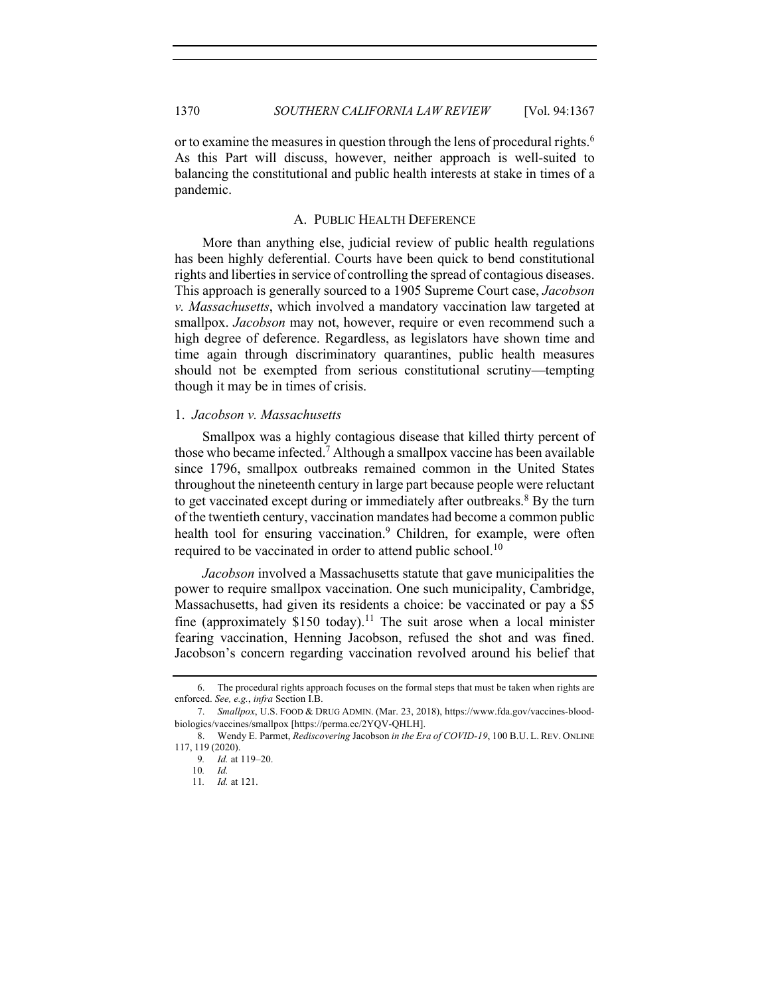or to examine the measures in question through the lens of procedural rights.<sup>6</sup> As this Part will discuss, however, neither approach is well-suited to balancing the constitutional and public health interests at stake in times of a pandemic.

## A. PUBLIC HEALTH DEFERENCE

More than anything else, judicial review of public health regulations has been highly deferential. Courts have been quick to bend constitutional rights and liberties in service of controlling the spread of contagious diseases. This approach is generally sourced to a 1905 Supreme Court case, *Jacobson v. Massachusetts*, which involved a mandatory vaccination law targeted at smallpox. *Jacobson* may not, however, require or even recommend such a high degree of deference. Regardless, as legislators have shown time and time again through discriminatory quarantines, public health measures should not be exempted from serious constitutional scrutiny—tempting though it may be in times of crisis.

## 1. *Jacobson v. Massachusetts*

Smallpox was a highly contagious disease that killed thirty percent of those who became infected.<sup>7</sup> Although a smallpox vaccine has been available since 1796, smallpox outbreaks remained common in the United States throughout the nineteenth century in large part because people were reluctant to get vaccinated except during or immediately after outbreaks.<sup>8</sup> By the turn of the twentieth century, vaccination mandates had become a common public health tool for ensuring vaccination.<sup>9</sup> Children, for example, were often required to be vaccinated in order to attend public school.<sup>10</sup>

*Jacobson* involved a Massachusetts statute that gave municipalities the power to require smallpox vaccination. One such municipality, Cambridge, Massachusetts, had given its residents a choice: be vaccinated or pay a \$5 fine (approximately \$150 today).<sup>11</sup> The suit arose when a local minister fearing vaccination, Henning Jacobson, refused the shot and was fined. Jacobson's concern regarding vaccination revolved around his belief that

<sup>6.</sup> The procedural rights approach focuses on the formal steps that must be taken when rights are enforced. *See, e.g.*, *infra* Section I.B.

<sup>7.</sup> *Smallpox*, U.S. FOOD & DRUG ADMIN. (Mar. 23, 2018), https://www.fda.gov/vaccines-bloodbiologics/vaccines/smallpox [https://perma.cc/2YQV-QHLH].

<sup>8.</sup> Wendy E. Parmet, *Rediscovering* Jacobson *in the Era of COVID-19*, 100 B.U. L. REV. ONLINE 117, 119 (2020).

<sup>9</sup>*. Id.* at 119–20.

<sup>10</sup>*. Id.*

<sup>11</sup>*. Id.* at 121.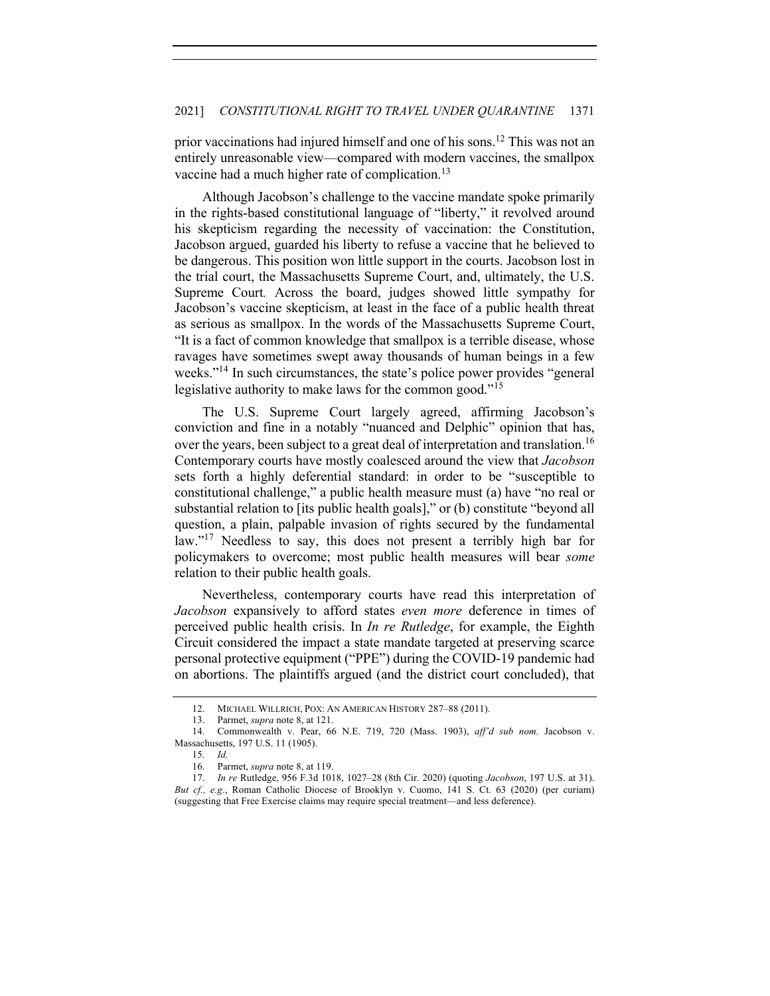prior vaccinations had injured himself and one of his sons.<sup>12</sup> This was not an entirely unreasonable view—compared with modern vaccines, the smallpox vaccine had a much higher rate of complication.<sup>13</sup>

Although Jacobson's challenge to the vaccine mandate spoke primarily in the rights-based constitutional language of "liberty," it revolved around his skepticism regarding the necessity of vaccination: the Constitution, Jacobson argued, guarded his liberty to refuse a vaccine that he believed to be dangerous. This position won little support in the courts. Jacobson lost in the trial court, the Massachusetts Supreme Court, and, ultimately, the U.S. Supreme Court*.* Across the board, judges showed little sympathy for Jacobson's vaccine skepticism, at least in the face of a public health threat as serious as smallpox. In the words of the Massachusetts Supreme Court, "It is a fact of common knowledge that smallpox is a terrible disease, whose ravages have sometimes swept away thousands of human beings in a few weeks."<sup>14</sup> In such circumstances, the state's police power provides "general legislative authority to make laws for the common good."<sup>15</sup>

The U.S. Supreme Court largely agreed, affirming Jacobson's conviction and fine in a notably "nuanced and Delphic" opinion that has, over the years, been subject to a great deal of interpretation and translation.<sup>16</sup> Contemporary courts have mostly coalesced around the view that *Jacobson*  sets forth a highly deferential standard: in order to be "susceptible to constitutional challenge," a public health measure must (a) have "no real or substantial relation to [its public health goals]," or (b) constitute "beyond all question, a plain, palpable invasion of rights secured by the fundamental law."<sup>17</sup> Needless to say, this does not present a terribly high bar for policymakers to overcome; most public health measures will bear *some* relation to their public health goals.

Nevertheless, contemporary courts have read this interpretation of *Jacobson* expansively to afford states *even more* deference in times of perceived public health crisis. In *In re Rutledge*, for example, the Eighth Circuit considered the impact a state mandate targeted at preserving scarce personal protective equipment ("PPE") during the COVID-19 pandemic had on abortions. The plaintiffs argued (and the district court concluded), that

<sup>12.</sup> MICHAEL WILLRICH, POX: AN AMERICAN HISTORY 287–88 (2011).

<sup>13.</sup> Parmet, *supra* note 8, at 121.

<sup>14.</sup> Commonwealth v. Pear, 66 N.E. 719, 720 (Mass. 1903), *aff'd sub nom.* Jacobson v. Massachusetts, 197 U.S. 11 (1905).

<sup>15.</sup> *Id.*

<sup>16.</sup> Parmet, *supra* note 8, at 119.

<sup>17.</sup> *In re* Rutledge, 956 F.3d 1018, 1027–28 (8th Cir. 2020) (quoting *Jacobson*, 197 U.S. at 31). *But cf., e.g.*, Roman Catholic Diocese of Brooklyn v. Cuomo, 141 S. Ct. 63 (2020) (per curiam) (suggesting that Free Exercise claims may require special treatment—and less deference).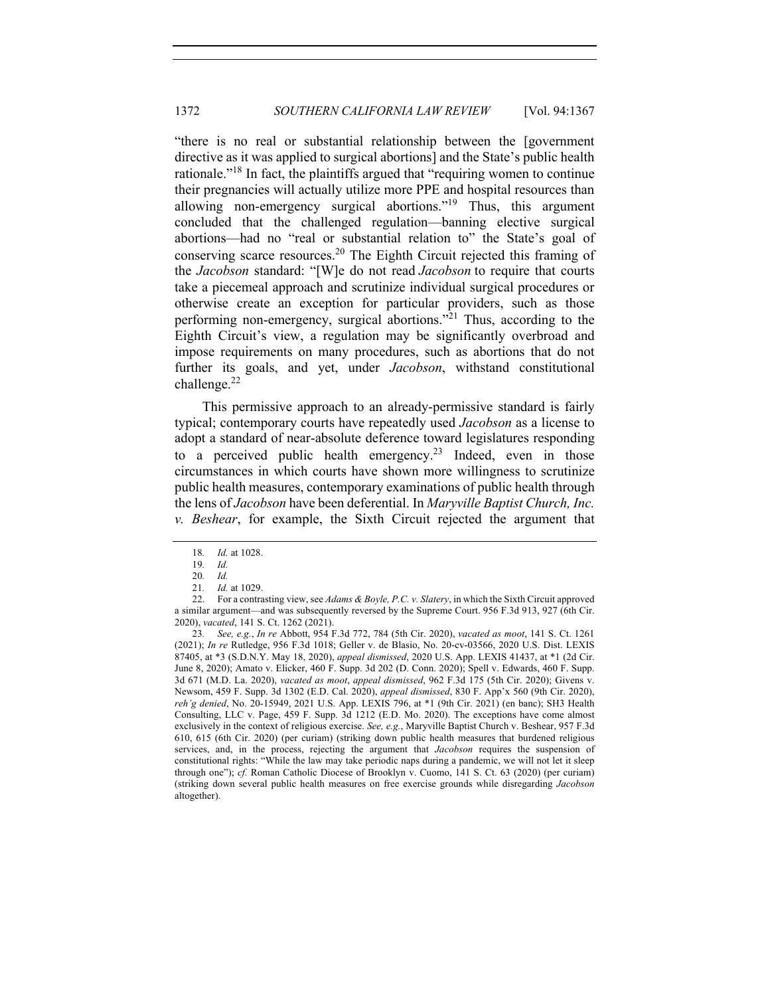"there is no real or substantial relationship between the [government directive as it was applied to surgical abortions] and the State's public health rationale.<sup>"18</sup> In fact, the plaintiffs argued that "requiring women to continue their pregnancies will actually utilize more PPE and hospital resources than allowing non-emergency surgical abortions."<sup>19</sup> Thus, this argument concluded that the challenged regulation—banning elective surgical abortions—had no "real or substantial relation to" the State's goal of conserving scarce resources. <sup>20</sup> The Eighth Circuit rejected this framing of the *Jacobson* standard: "[W]e do not read *Jacobson* to require that courts take a piecemeal approach and scrutinize individual surgical procedures or otherwise create an exception for particular providers, such as those performing non-emergency, surgical abortions. $\frac{1}{2}$  Thus, according to the Eighth Circuit's view, a regulation may be significantly overbroad and impose requirements on many procedures, such as abortions that do not further its goals, and yet, under *Jacobson*, withstand constitutional challenge. 22

This permissive approach to an already-permissive standard is fairly typical; contemporary courts have repeatedly used *Jacobson* as a license to adopt a standard of near-absolute deference toward legislatures responding to a perceived public health emergency.<sup>23</sup> Indeed, even in those circumstances in which courts have shown more willingness to scrutinize public health measures, contemporary examinations of public health through the lens of *Jacobson* have been deferential. In *Maryville Baptist Church, Inc. v. Beshear*, for example, the Sixth Circuit rejected the argument that

23*. See, e.g.*, *In re* Abbott, 954 F.3d 772, 784 (5th Cir. 2020), *vacated as moot*, 141 S. Ct. 1261 (2021); *In re* Rutledge, 956 F.3d 1018; Geller v. de Blasio, No. 20-cv-03566, 2020 U.S. Dist. LEXIS 87405, at \*3 (S.D.N.Y. May 18, 2020), *appeal dismissed*, 2020 U.S. App. LEXIS 41437, at \*1 (2d Cir. June 8, 2020); Amato v. Elicker, 460 F. Supp. 3d 202 (D. Conn. 2020); Spell v. Edwards, 460 F. Supp. 3d 671 (M.D. La. 2020), *vacated as moot*, *appeal dismissed*, 962 F.3d 175 (5th Cir. 2020); Givens v. Newsom, 459 F. Supp. 3d 1302 (E.D. Cal. 2020), *appeal dismissed*, 830 F. App'x 560 (9th Cir. 2020), *reh'g denied*, No. 20-15949, 2021 U.S. App. LEXIS 796, at \*1 (9th Cir. 2021) (en banc); SH3 Health Consulting, LLC v. Page, 459 F. Supp. 3d 1212 (E.D. Mo. 2020). The exceptions have come almost exclusively in the context of religious exercise. *See, e.g.*, Maryville Baptist Church v. Beshear, 957 F.3d 610, 615 (6th Cir. 2020) (per curiam) (striking down public health measures that burdened religious services, and, in the process, rejecting the argument that *Jacobson* requires the suspension of constitutional rights: "While the law may take periodic naps during a pandemic, we will not let it sleep through one"); *cf.* Roman Catholic Diocese of Brooklyn v. Cuomo, 141 S. Ct. 63 (2020) (per curiam) (striking down several public health measures on free exercise grounds while disregarding *Jacobson* altogether).

<sup>18</sup>*. Id.* at 1028.

<sup>19</sup>*. Id.*

<sup>20</sup>*. Id.*

<sup>21</sup>*. Id.* at 1029.

<sup>22.</sup> For a contrasting view, see *Adams & Boyle, P.C. v. Slatery*, in which the Sixth Circuit approved a similar argument—and was subsequently reversed by the Supreme Court. 956 F.3d 913, 927 (6th Cir. 2020), *vacated*, 141 S. Ct. 1262 (2021).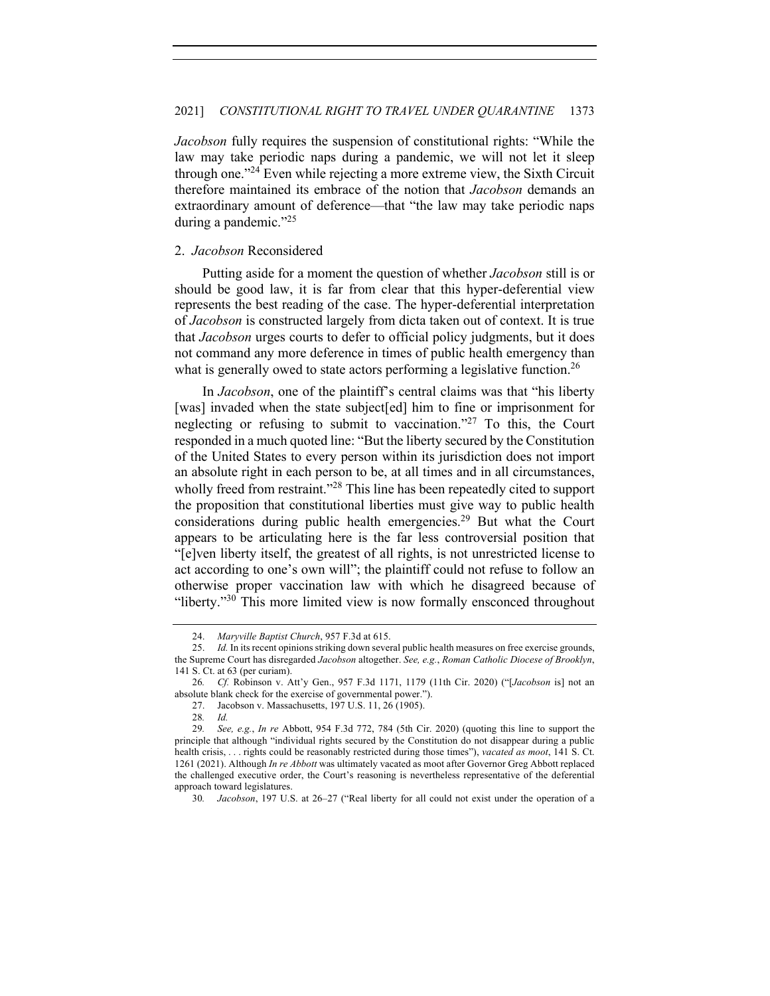*Jacobson* fully requires the suspension of constitutional rights: "While the law may take periodic naps during a pandemic, we will not let it sleep through one."24 Even while rejecting a more extreme view, the Sixth Circuit therefore maintained its embrace of the notion that *Jacobson* demands an extraordinary amount of deference—that "the law may take periodic naps during a pandemic."<sup>25</sup>

## 2. *Jacobson* Reconsidered

Putting aside for a moment the question of whether *Jacobson* still is or should be good law, it is far from clear that this hyper-deferential view represents the best reading of the case. The hyper-deferential interpretation of *Jacobson* is constructed largely from dicta taken out of context. It is true that *Jacobson* urges courts to defer to official policy judgments, but it does not command any more deference in times of public health emergency than what is generally owed to state actors performing a legislative function.<sup>26</sup>

In *Jacobson*, one of the plaintiff's central claims was that "his liberty [was] invaded when the state subject[ed] him to fine or imprisonment for neglecting or refusing to submit to vaccination."<sup>27</sup> To this, the Court responded in a much quoted line: "But the liberty secured by the Constitution of the United States to every person within its jurisdiction does not import an absolute right in each person to be, at all times and in all circumstances, wholly freed from restraint."<sup>28</sup> This line has been repeatedly cited to support the proposition that constitutional liberties must give way to public health considerations during public health emergencies.<sup>29</sup> But what the Court appears to be articulating here is the far less controversial position that "[e]ven liberty itself, the greatest of all rights, is not unrestricted license to act according to one's own will"; the plaintiff could not refuse to follow an otherwise proper vaccination law with which he disagreed because of "liberty."<sup>30</sup> This more limited view is now formally ensconced throughout

<sup>24.</sup> *Maryville Baptist Church*, 957 F.3d at 615.

<sup>25.</sup> *Id.* In its recent opinions striking down several public health measures on free exercise grounds, the Supreme Court has disregarded *Jacobson* altogether. *See, e.g.*, *Roman Catholic Diocese of Brooklyn*, 141 S. Ct. at 63 (per curiam).

<sup>26</sup>*. Cf.* Robinson v. Att'y Gen., 957 F.3d 1171, 1179 (11th Cir. 2020) ("[*Jacobson* is] not an absolute blank check for the exercise of governmental power.").

<sup>27.</sup> Jacobson v. Massachusetts, 197 U.S. 11, 26 (1905).

<sup>28</sup>*. Id.*

<sup>29</sup>*. See, e.g.*, *In re* Abbott, 954 F.3d 772, 784 (5th Cir. 2020) (quoting this line to support the principle that although "individual rights secured by the Constitution do not disappear during a public health crisis, . . . rights could be reasonably restricted during those times"), *vacated as moot*, 141 S. Ct. 1261 (2021). Although *In re Abbott* was ultimately vacated as moot after Governor Greg Abbott replaced the challenged executive order, the Court's reasoning is nevertheless representative of the deferential approach toward legislatures.

<sup>30</sup>*. Jacobson*, 197 U.S. at 26–27 ("Real liberty for all could not exist under the operation of a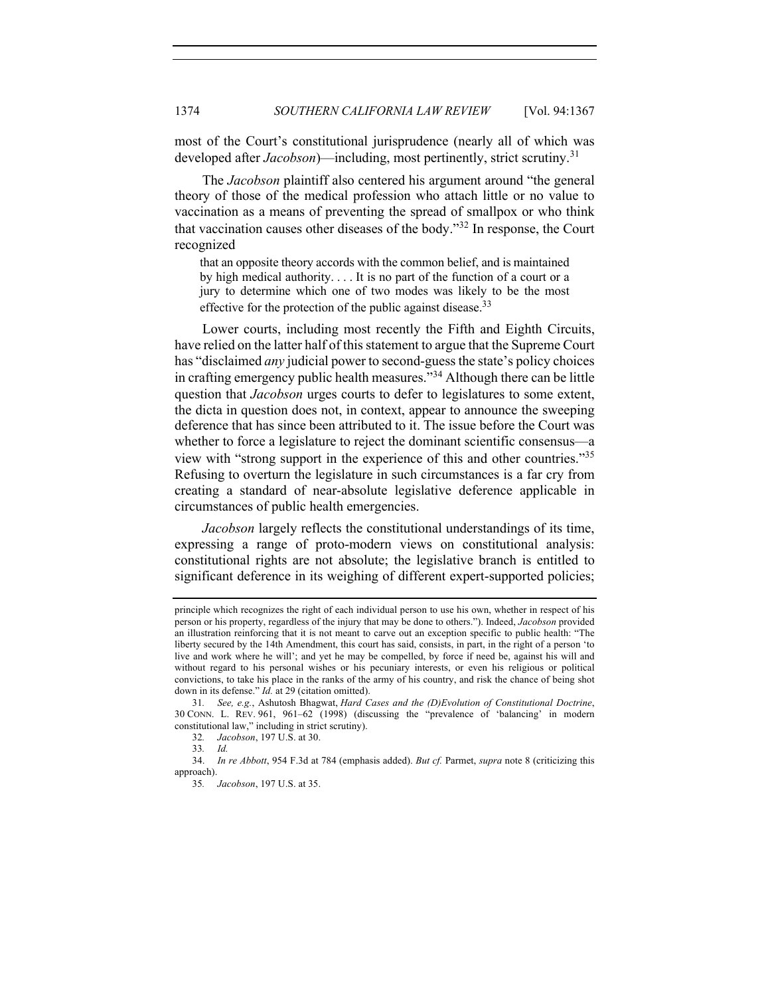most of the Court's constitutional jurisprudence (nearly all of which was developed after *Jacobson*)—including, most pertinently, strict scrutiny.<sup>31</sup>

The *Jacobson* plaintiff also centered his argument around "the general theory of those of the medical profession who attach little or no value to vaccination as a means of preventing the spread of smallpox or who think that vaccination causes other diseases of the body."<sup>32</sup> In response, the Court recognized

that an opposite theory accords with the common belief, and is maintained by high medical authority. . . . It is no part of the function of a court or a jury to determine which one of two modes was likely to be the most effective for the protection of the public against disease.<sup>33</sup>

Lower courts, including most recently the Fifth and Eighth Circuits, have relied on the latter half of this statement to argue that the Supreme Court has "disclaimed *any* judicial power to second-guess the state's policy choices in crafting emergency public health measures."<sup>34</sup> Although there can be little question that *Jacobson* urges courts to defer to legislatures to some extent, the dicta in question does not, in context, appear to announce the sweeping deference that has since been attributed to it. The issue before the Court was whether to force a legislature to reject the dominant scientific consensus—a view with "strong support in the experience of this and other countries."35 Refusing to overturn the legislature in such circumstances is a far cry from creating a standard of near-absolute legislative deference applicable in circumstances of public health emergencies.

*Jacobson* largely reflects the constitutional understandings of its time, expressing a range of proto-modern views on constitutional analysis: constitutional rights are not absolute; the legislative branch is entitled to significant deference in its weighing of different expert-supported policies;

principle which recognizes the right of each individual person to use his own, whether in respect of his person or his property, regardless of the injury that may be done to others."). Indeed, *Jacobson* provided an illustration reinforcing that it is not meant to carve out an exception specific to public health: "The liberty secured by the 14th Amendment, this court has said, consists, in part, in the right of a person 'to live and work where he will'; and yet he may be compelled, by force if need be, against his will and without regard to his personal wishes or his pecuniary interests, or even his religious or political convictions, to take his place in the ranks of the army of his country, and risk the chance of being shot down in its defense." *Id.* at 29 (citation omitted).

<sup>31</sup>*. See, e.g.*, Ashutosh Bhagwat, *Hard Cases and the (D)Evolution of Constitutional Doctrine*, 30 CONN. L. REV. 961, 961–62 (1998) (discussing the "prevalence of 'balancing' in modern constitutional law," including in strict scrutiny).

<sup>32</sup>*. Jacobson*, 197 U.S. at 30.

<sup>33</sup>*. Id.*

<sup>34.</sup> *In re Abbott*, 954 F.3d at 784 (emphasis added). *But cf.* Parmet, *supra* note 8 (criticizing this approach).

<sup>35</sup>*. Jacobson*, 197 U.S. at 35.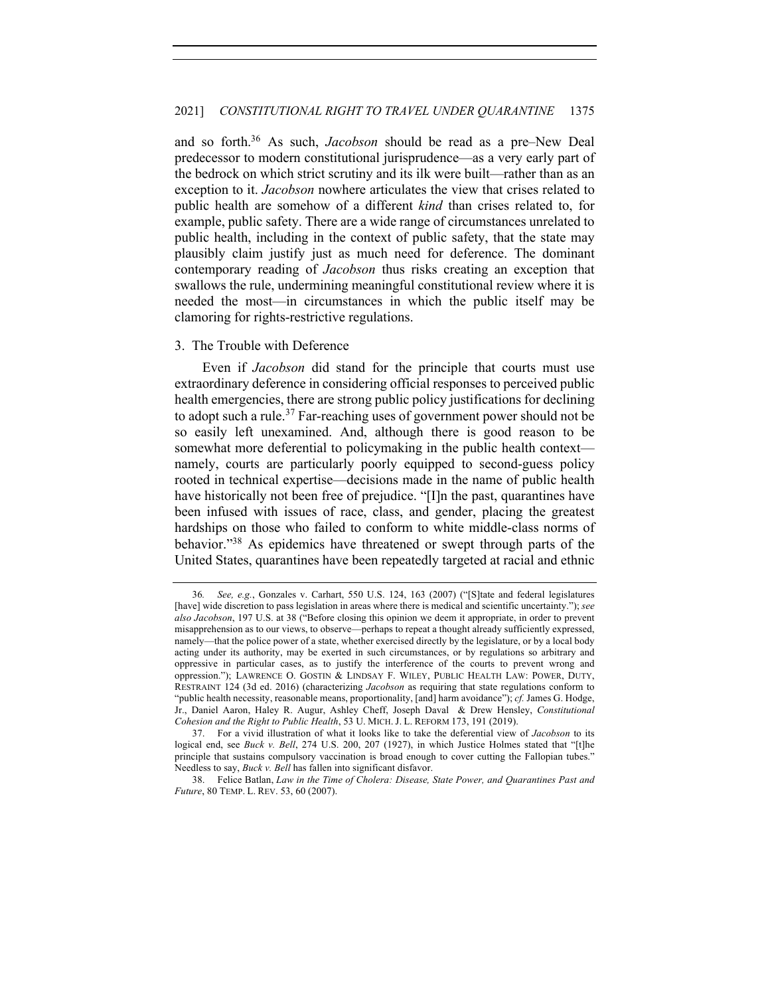and so forth.36 As such, *Jacobson* should be read as a pre–New Deal predecessor to modern constitutional jurisprudence—as a very early part of the bedrock on which strict scrutiny and its ilk were built—rather than as an exception to it. *Jacobson* nowhere articulates the view that crises related to public health are somehow of a different *kind* than crises related to, for example, public safety. There are a wide range of circumstances unrelated to public health, including in the context of public safety, that the state may plausibly claim justify just as much need for deference. The dominant contemporary reading of *Jacobson* thus risks creating an exception that swallows the rule, undermining meaningful constitutional review where it is needed the most—in circumstances in which the public itself may be clamoring for rights-restrictive regulations.

## 3. The Trouble with Deference

Even if *Jacobson* did stand for the principle that courts must use extraordinary deference in considering official responses to perceived public health emergencies, there are strong public policy justifications for declining to adopt such a rule.<sup>37</sup> Far-reaching uses of government power should not be so easily left unexamined. And, although there is good reason to be somewhat more deferential to policymaking in the public health context namely, courts are particularly poorly equipped to second-guess policy rooted in technical expertise—decisions made in the name of public health have historically not been free of prejudice. "[I]n the past, quarantines have been infused with issues of race, class, and gender, placing the greatest hardships on those who failed to conform to white middle-class norms of behavior."38 As epidemics have threatened or swept through parts of the United States, quarantines have been repeatedly targeted at racial and ethnic

<sup>36</sup>*. See, e.g.*, Gonzales v. Carhart, 550 U.S. 124, 163 (2007) ("[S]tate and federal legislatures [have] wide discretion to pass legislation in areas where there is medical and scientific uncertainty."); *see also Jacobson*, 197 U.S. at 38 ("Before closing this opinion we deem it appropriate, in order to prevent misapprehension as to our views, to observe—perhaps to repeat a thought already sufficiently expressed, namely—that the police power of a state, whether exercised directly by the legislature, or by a local body acting under its authority, may be exerted in such circumstances, or by regulations so arbitrary and oppressive in particular cases, as to justify the interference of the courts to prevent wrong and oppression."); LAWRENCE O. GOSTIN & LINDSAY F. WILEY, PUBLIC HEALTH LAW: POWER, DUTY, RESTRAINT 124 (3d ed. 2016) (characterizing *Jacobson* as requiring that state regulations conform to "public health necessity, reasonable means, proportionality, [and] harm avoidance"); *cf.* James G. Hodge, Jr., Daniel Aaron, Haley R. Augur, Ashley Cheff, Joseph Daval & Drew Hensley, *Constitutional Cohesion and the Right to Public Health*, 53 U. MICH. J. L. REFORM 173, 191 (2019).

<sup>37.</sup> For a vivid illustration of what it looks like to take the deferential view of *Jacobson* to its logical end, see *Buck v. Bell*, 274 U.S. 200, 207 (1927), in which Justice Holmes stated that "[t]he principle that sustains compulsory vaccination is broad enough to cover cutting the Fallopian tubes." Needless to say, *Buck v. Bell* has fallen into significant disfavor.

<sup>38.</sup> Felice Batlan, *Law in the Time of Cholera: Disease, State Power, and Quarantines Past and Future*, 80 TEMP. L. REV. 53, 60 (2007).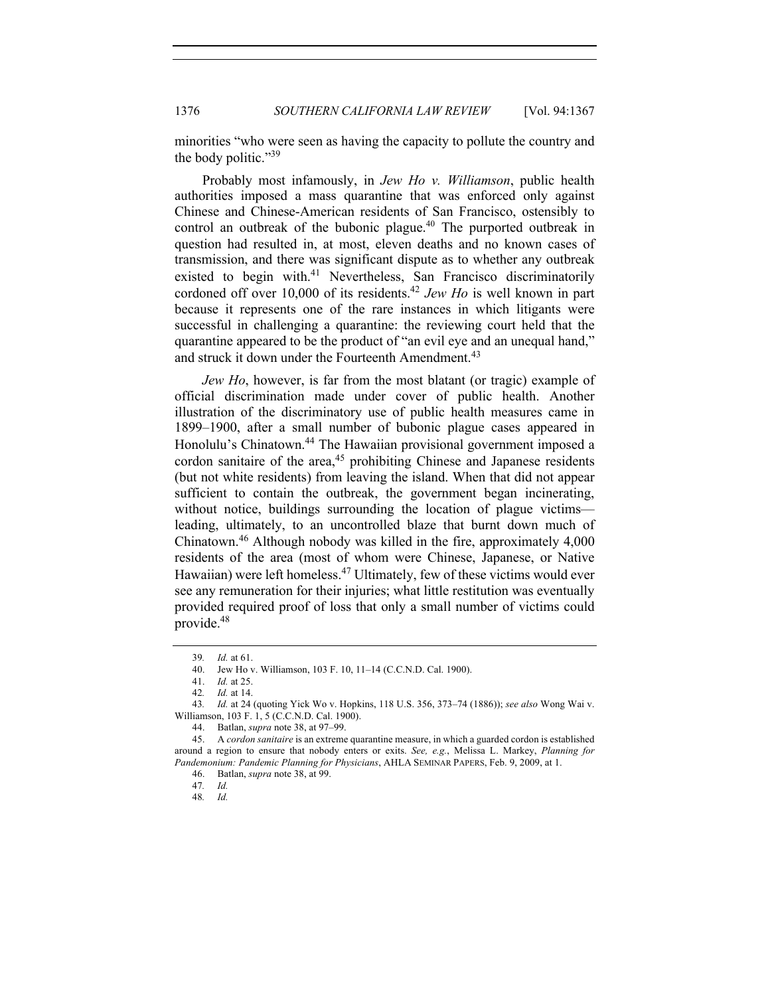1376 *SOUTHERN CALIFORNIA LAW REVIEW* [Vol. 94:1367

minorities "who were seen as having the capacity to pollute the country and the body politic."39

Probably most infamously, in *Jew Ho v. Williamson*, public health authorities imposed a mass quarantine that was enforced only against Chinese and Chinese-American residents of San Francisco, ostensibly to control an outbreak of the bubonic plague.<sup>40</sup> The purported outbreak in question had resulted in, at most, eleven deaths and no known cases of transmission, and there was significant dispute as to whether any outbreak existed to begin with.<sup>41</sup> Nevertheless, San Francisco discriminatorily cordoned off over 10,000 of its residents.42 *Jew Ho* is well known in part because it represents one of the rare instances in which litigants were successful in challenging a quarantine: the reviewing court held that the quarantine appeared to be the product of "an evil eye and an unequal hand," and struck it down under the Fourteenth Amendment.<sup>43</sup>

*Jew Ho*, however, is far from the most blatant (or tragic) example of official discrimination made under cover of public health. Another illustration of the discriminatory use of public health measures came in 1899–1900, after a small number of bubonic plague cases appeared in Honolulu's Chinatown.<sup>44</sup> The Hawaiian provisional government imposed a cordon sanitaire of the area, $45$  prohibiting Chinese and Japanese residents (but not white residents) from leaving the island. When that did not appear sufficient to contain the outbreak, the government began incinerating, without notice, buildings surrounding the location of plague victims leading, ultimately, to an uncontrolled blaze that burnt down much of Chinatown.<sup>46</sup> Although nobody was killed in the fire, approximately 4,000 residents of the area (most of whom were Chinese, Japanese, or Native Hawaiian) were left homeless.<sup>47</sup> Ultimately, few of these victims would ever see any remuneration for their injuries; what little restitution was eventually provided required proof of loss that only a small number of victims could provide.48

<sup>39</sup>*. Id.* at 61.

<sup>40.</sup> Jew Ho v. Williamson, 103 F. 10, 11–14 (C.C.N.D. Cal. 1900).

<sup>41.</sup> *Id.* at 25.

<sup>42</sup>*. Id.* at 14.

<sup>43</sup>*. Id.* at 24 (quoting Yick Wo v. Hopkins, 118 U.S. 356, 373–74 (1886)); *see also* Wong Wai v. Williamson, 103 F. 1, 5 (C.C.N.D. Cal. 1900).

<sup>44.</sup> Batlan, *supra* note 38, at 97–99.

<sup>45.</sup> A *cordon sanitaire* is an extreme quarantine measure, in which a guarded cordon is established around a region to ensure that nobody enters or exits. *See, e.g.*, Melissa L. Markey, *Planning for Pandemonium: Pandemic Planning for Physicians*, AHLA SEMINAR PAPERS, Feb. 9, 2009, at 1.

<sup>46.</sup> Batlan, *supra* note 38, at 99.

<sup>47</sup>*. Id.*

<sup>48</sup>*. Id.*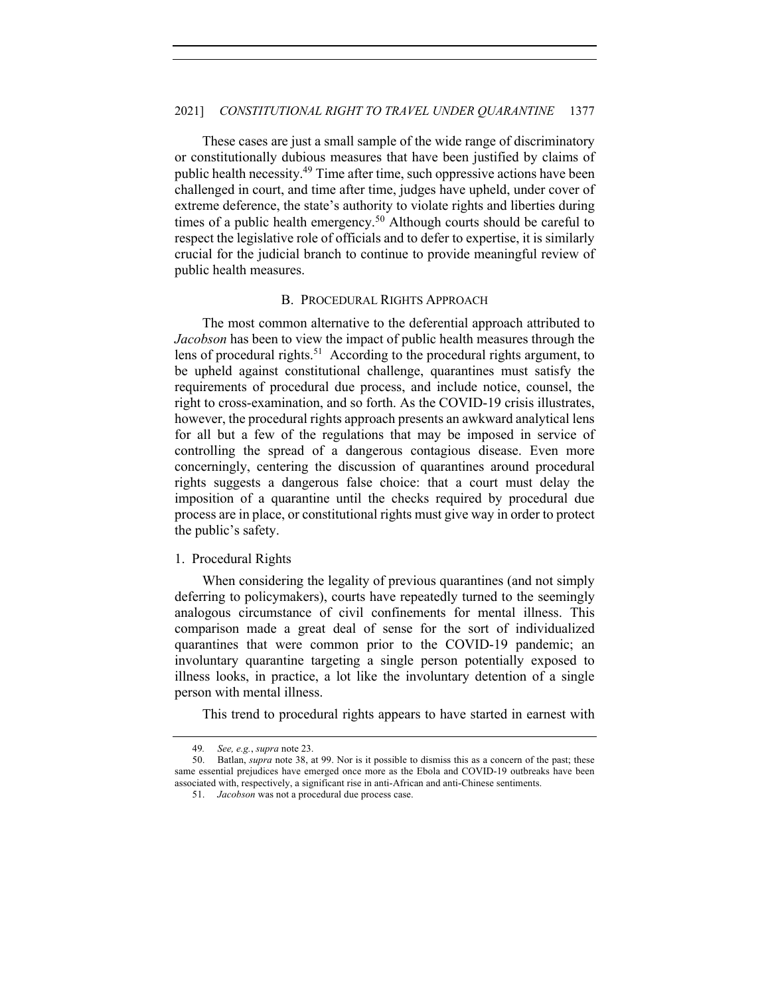## 2021] *CONSTITUTIONAL RIGHT TO TRAVEL UNDER QUARANTINE* 1377

These cases are just a small sample of the wide range of discriminatory or constitutionally dubious measures that have been justified by claims of public health necessity.49 Time after time, such oppressive actions have been challenged in court, and time after time, judges have upheld, under cover of extreme deference, the state's authority to violate rights and liberties during times of a public health emergency.<sup>50</sup> Although courts should be careful to respect the legislative role of officials and to defer to expertise, it is similarly crucial for the judicial branch to continue to provide meaningful review of public health measures.

## B. PROCEDURAL RIGHTS APPROACH

The most common alternative to the deferential approach attributed to *Jacobson* has been to view the impact of public health measures through the lens of procedural rights.<sup>51</sup> According to the procedural rights argument, to be upheld against constitutional challenge, quarantines must satisfy the requirements of procedural due process, and include notice, counsel, the right to cross-examination, and so forth. As the COVID-19 crisis illustrates, however, the procedural rights approach presents an awkward analytical lens for all but a few of the regulations that may be imposed in service of controlling the spread of a dangerous contagious disease. Even more concerningly, centering the discussion of quarantines around procedural rights suggests a dangerous false choice: that a court must delay the imposition of a quarantine until the checks required by procedural due process are in place, or constitutional rights must give way in order to protect the public's safety.

## 1. Procedural Rights

When considering the legality of previous quarantines (and not simply deferring to policymakers), courts have repeatedly turned to the seemingly analogous circumstance of civil confinements for mental illness. This comparison made a great deal of sense for the sort of individualized quarantines that were common prior to the COVID-19 pandemic; an involuntary quarantine targeting a single person potentially exposed to illness looks, in practice, a lot like the involuntary detention of a single person with mental illness.

This trend to procedural rights appears to have started in earnest with

<sup>49</sup>*. See, e.g.*, *supra* note 23.

<sup>50.</sup> Batlan, *supra* note 38, at 99. Nor is it possible to dismiss this as a concern of the past; these same essential prejudices have emerged once more as the Ebola and COVID-19 outbreaks have been associated with, respectively, a significant rise in anti-African and anti-Chinese sentiments.

<sup>51.</sup> *Jacobson* was not a procedural due process case.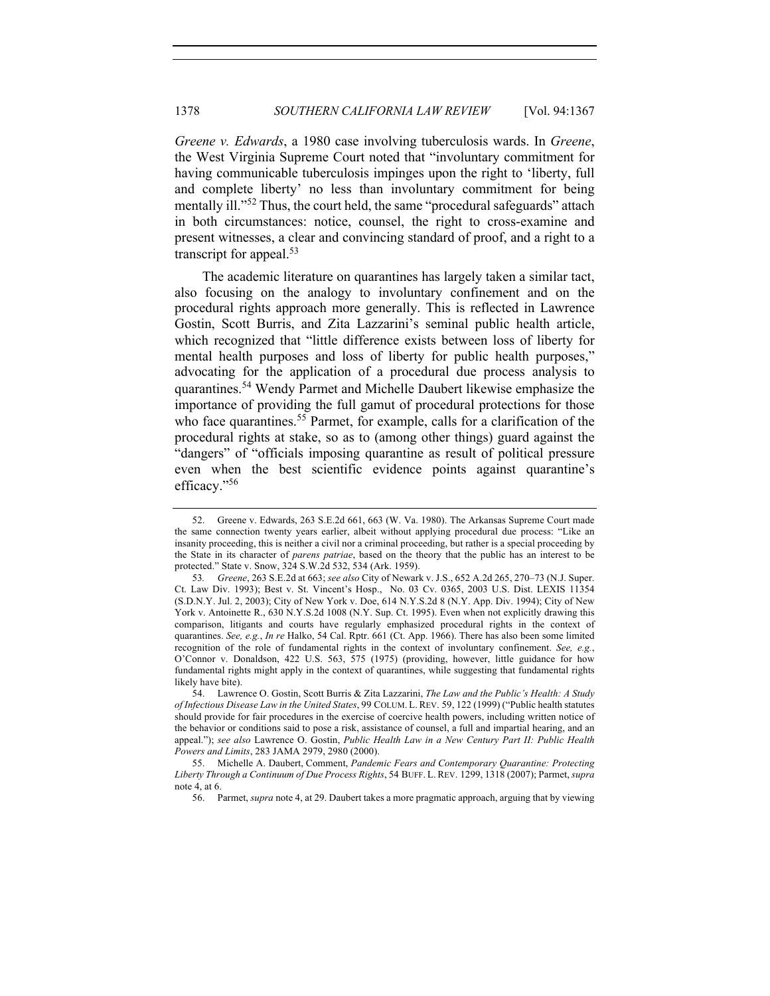*Greene v. Edwards*, a 1980 case involving tuberculosis wards. In *Greene*, the West Virginia Supreme Court noted that "involuntary commitment for having communicable tuberculosis impinges upon the right to 'liberty, full and complete liberty' no less than involuntary commitment for being mentally ill."<sup>52</sup> Thus, the court held, the same "procedural safeguards" attach in both circumstances: notice, counsel, the right to cross-examine and present witnesses, a clear and convincing standard of proof, and a right to a transcript for appeal. $53$ 

The academic literature on quarantines has largely taken a similar tact, also focusing on the analogy to involuntary confinement and on the procedural rights approach more generally. This is reflected in Lawrence Gostin, Scott Burris, and Zita Lazzarini's seminal public health article, which recognized that "little difference exists between loss of liberty for mental health purposes and loss of liberty for public health purposes," advocating for the application of a procedural due process analysis to quarantines.<sup>54</sup> Wendy Parmet and Michelle Daubert likewise emphasize the importance of providing the full gamut of procedural protections for those who face quarantines.<sup>55</sup> Parmet, for example, calls for a clarification of the procedural rights at stake, so as to (among other things) guard against the "dangers" of "officials imposing quarantine as result of political pressure even when the best scientific evidence points against quarantine's efficacy."56

<sup>52.</sup> Greene v. Edwards, 263 S.E.2d 661, 663 (W. Va. 1980). The Arkansas Supreme Court made the same connection twenty years earlier, albeit without applying procedural due process: "Like an insanity proceeding, this is neither a civil nor a criminal proceeding, but rather is a special proceeding by the State in its character of *parens patriae*, based on the theory that the public has an interest to be protected." State v. Snow, 324 S.W.2d 532, 534 (Ark. 1959).

<sup>53</sup>*. Greene*, 263 S.E.2d at 663; *see also* City of Newark v. J.S., 652 A.2d 265, 270–73 (N.J. Super. Ct. Law Div. 1993); Best v. St. Vincent's Hosp., No. 03 Cv. 0365, 2003 U.S. Dist. LEXIS 11354 (S.D.N.Y. Jul. 2, 2003); City of New York v. Doe, 614 N.Y.S.2d 8 (N.Y. App. Div. 1994); City of New York v. Antoinette R., 630 N.Y.S.2d 1008 (N.Y. Sup. Ct. 1995). Even when not explicitly drawing this comparison, litigants and courts have regularly emphasized procedural rights in the context of quarantines. *See, e.g.*, *In re* Halko, 54 Cal. Rptr. 661 (Ct. App. 1966). There has also been some limited recognition of the role of fundamental rights in the context of involuntary confinement. *See, e.g.*, O'Connor v. Donaldson, 422 U.S. 563, 575 (1975) (providing, however, little guidance for how fundamental rights might apply in the context of quarantines, while suggesting that fundamental rights likely have bite).

<sup>54.</sup> Lawrence O. Gostin, Scott Burris & Zita Lazzarini, *The Law and the Public's Health: A Study of Infectious Disease Law in the United States*, 99 COLUM. L.REV. 59, 122 (1999) ("Public health statutes should provide for fair procedures in the exercise of coercive health powers, including written notice of the behavior or conditions said to pose a risk, assistance of counsel, a full and impartial hearing, and an appeal."); *see also* Lawrence O. Gostin, *Public Health Law in a New Century Part II: Public Health Powers and Limits*, 283 JAMA 2979, 2980 (2000).

<sup>55.</sup> Michelle A. Daubert, Comment, *Pandemic Fears and Contemporary Quarantine: Protecting Liberty Through a Continuum of Due Process Rights*, 54 BUFF. L. REV. 1299, 1318 (2007); Parmet, *supra*  note 4, at 6.

<sup>56.</sup> Parmet, *supra* note 4, at 29. Daubert takes a more pragmatic approach, arguing that by viewing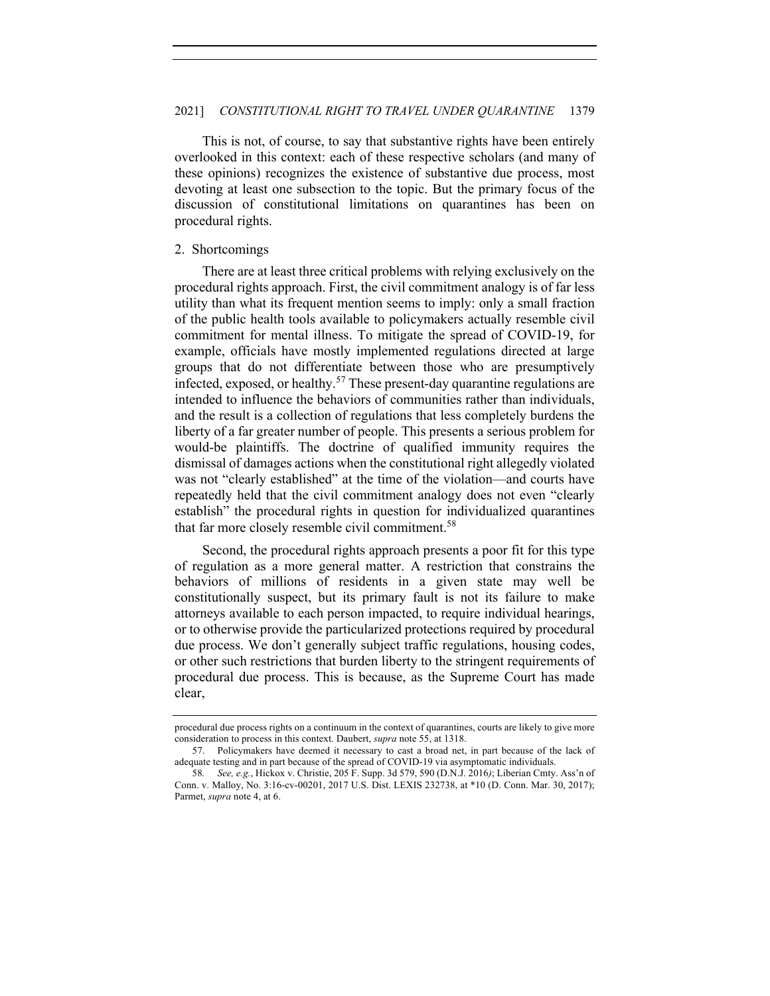This is not, of course, to say that substantive rights have been entirely overlooked in this context: each of these respective scholars (and many of these opinions) recognizes the existence of substantive due process, most devoting at least one subsection to the topic. But the primary focus of the discussion of constitutional limitations on quarantines has been on procedural rights.

## 2. Shortcomings

There are at least three critical problems with relying exclusively on the procedural rights approach. First, the civil commitment analogy is of far less utility than what its frequent mention seems to imply: only a small fraction of the public health tools available to policymakers actually resemble civil commitment for mental illness. To mitigate the spread of COVID-19, for example, officials have mostly implemented regulations directed at large groups that do not differentiate between those who are presumptively infected, exposed, or healthy.<sup>57</sup> These present-day quarantine regulations are intended to influence the behaviors of communities rather than individuals, and the result is a collection of regulations that less completely burdens the liberty of a far greater number of people. This presents a serious problem for would-be plaintiffs. The doctrine of qualified immunity requires the dismissal of damages actions when the constitutional right allegedly violated was not "clearly established" at the time of the violation—and courts have repeatedly held that the civil commitment analogy does not even "clearly establish" the procedural rights in question for individualized quarantines that far more closely resemble civil commitment.<sup>58</sup>

Second, the procedural rights approach presents a poor fit for this type of regulation as a more general matter. A restriction that constrains the behaviors of millions of residents in a given state may well be constitutionally suspect, but its primary fault is not its failure to make attorneys available to each person impacted, to require individual hearings, or to otherwise provide the particularized protections required by procedural due process. We don't generally subject traffic regulations, housing codes, or other such restrictions that burden liberty to the stringent requirements of procedural due process. This is because, as the Supreme Court has made clear,

procedural due process rights on a continuum in the context of quarantines, courts are likely to give more consideration to process in this context. Daubert, *supra* note 55, at 1318.

<sup>57.</sup> Policymakers have deemed it necessary to cast a broad net, in part because of the lack of adequate testing and in part because of the spread of COVID-19 via asymptomatic individuals.

<sup>58</sup>*. See, e.g.*, Hickox v. Christie, 205 F. Supp. 3d 579, 590 (D.N.J. 2016*)*; Liberian Cmty. Ass'n of Conn. v. Malloy, No. 3:16-cv-00201, 2017 U.S. Dist. LEXIS 232738, at \*10 (D. Conn. Mar. 30, 2017); Parmet, *supra* note 4, at 6.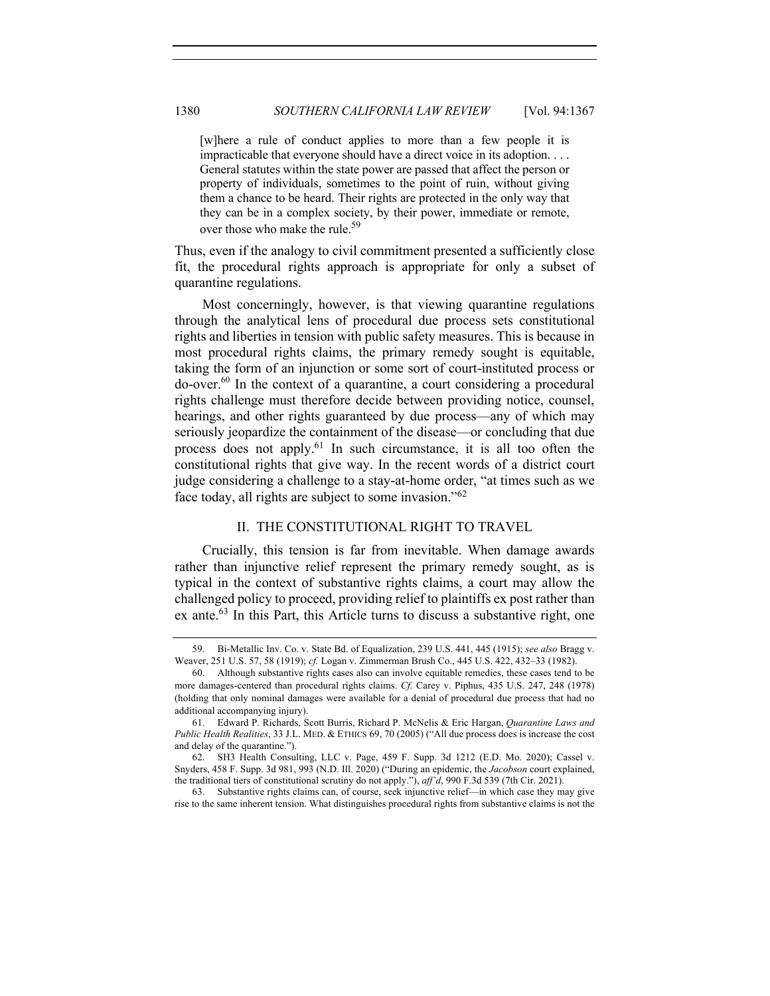[w]here a rule of conduct applies to more than a few people it is impracticable that everyone should have a direct voice in its adoption. . . . General statutes within the state power are passed that affect the person or property of individuals, sometimes to the point of ruin, without giving them a chance to be heard. Their rights are protected in the only way that they can be in a complex society, by their power, immediate or remote, over those who make the rule.<sup>59</sup>

Thus, even if the analogy to civil commitment presented a sufficiently close fit, the procedural rights approach is appropriate for only a subset of quarantine regulations.

Most concerningly, however, is that viewing quarantine regulations through the analytical lens of procedural due process sets constitutional rights and liberties in tension with public safety measures. This is because in most procedural rights claims, the primary remedy sought is equitable, taking the form of an injunction or some sort of court-instituted process or  $\alpha$ -over.<sup>60</sup> In the context of a quarantine, a court considering a procedural rights challenge must therefore decide between providing notice, counsel, hearings, and other rights guaranteed by due process—any of which may seriously jeopardize the containment of the disease—or concluding that due process does not apply. $61$  In such circumstance, it is all too often the constitutional rights that give way. In the recent words of a district court judge considering a challenge to a stay-at-home order, "at times such as we face today, all rights are subject to some invasion."<sup>62</sup>

# II. THE CONSTITUTIONAL RIGHT TO TRAVEL

Crucially, this tension is far from inevitable. When damage awards rather than injunctive relief represent the primary remedy sought, as is typical in the context of substantive rights claims, a court may allow the challenged policy to proceed, providing relief to plaintiffs ex post rather than ex ante.<sup>63</sup> In this Part, this Article turns to discuss a substantive right, one

63. Substantive rights claims can, of course, seek injunctive relief—in which case they may give rise to the same inherent tension. What distinguishes procedural rights from substantive claims is not the

<sup>59.</sup> Bi-Metallic Inv. Co. v. State Bd. of Equalization, 239 U.S. 441, 445 (1915); *see also* Bragg v. Weaver, 251 U.S. 57, 58 (1919); *cf.* Logan v. Zimmerman Brush Co., 445 U.S. 422, 432–33 (1982).

<sup>60.</sup> Although substantive rights cases also can involve equitable remedies, these cases tend to be more damages-centered than procedural rights claims. *Cf.* Carey v. Piphus, 435 U.S. 247, 248 (1978) (holding that only nominal damages were available for a denial of procedural due process that had no additional accompanying injury).

<sup>61.</sup> Edward P. Richards, Scott Burris, Richard P. McNelis & Eric Hargan, *Quarantine Laws and Public Health Realities*, 33 J.L. MED. & ETHICS 69, 70 (2005) ("All due process does is increase the cost and delay of the quarantine.").

<sup>62.</sup> SH3 Health Consulting, LLC v. Page, 459 F. Supp. 3d 1212 (E.D. Mo. 2020); Cassel v. Snyders, 458 F. Supp. 3d 981, 993 (N.D. Ill. 2020) ("During an epidemic, the *Jacobson* court explained, the traditional tiers of constitutional scrutiny do not apply."), *aff'd*, 990 F.3d 539 (7th Cir. 2021).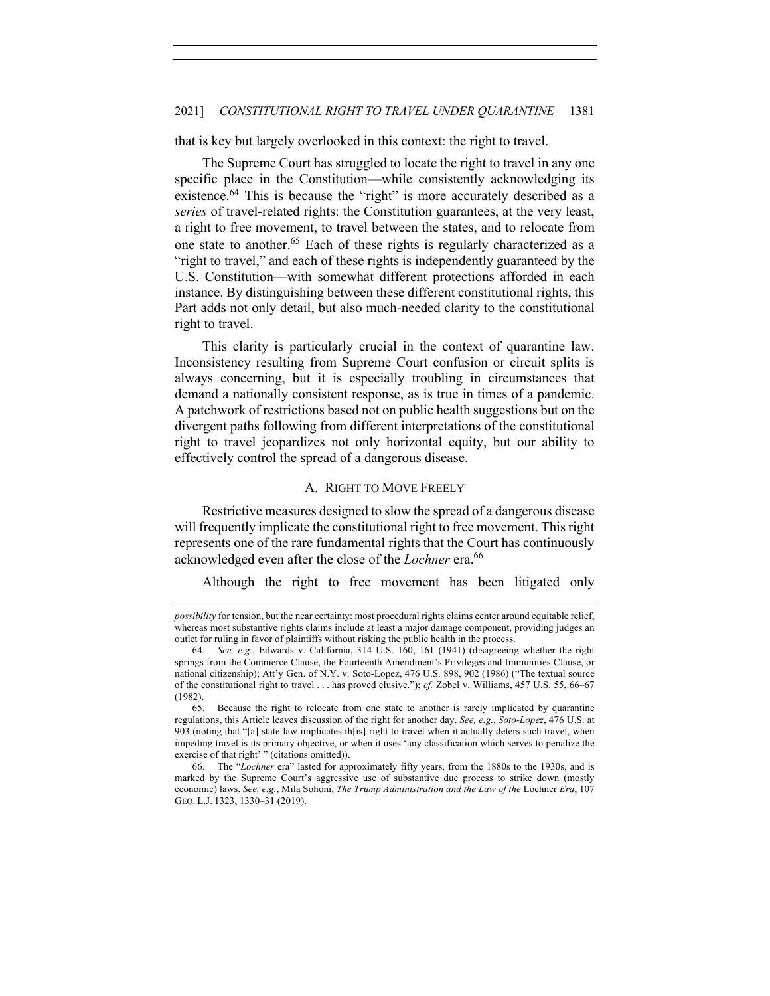that is key but largely overlooked in this context: the right to travel.

The Supreme Court has struggled to locate the right to travel in any one specific place in the Constitution—while consistently acknowledging its existence.<sup>64</sup> This is because the "right" is more accurately described as a *series* of travel-related rights: the Constitution guarantees, at the very least, a right to free movement, to travel between the states, and to relocate from one state to another.65 Each of these rights is regularly characterized as a "right to travel," and each of these rights is independently guaranteed by the U.S. Constitution—with somewhat different protections afforded in each instance. By distinguishing between these different constitutional rights, this Part adds not only detail, but also much-needed clarity to the constitutional right to travel.

This clarity is particularly crucial in the context of quarantine law. Inconsistency resulting from Supreme Court confusion or circuit splits is always concerning, but it is especially troubling in circumstances that demand a nationally consistent response, as is true in times of a pandemic. A patchwork of restrictions based not on public health suggestions but on the divergent paths following from different interpretations of the constitutional right to travel jeopardizes not only horizontal equity, but our ability to effectively control the spread of a dangerous disease.

#### A. RIGHT TO MOVE FREELY

Restrictive measures designed to slow the spread of a dangerous disease will frequently implicate the constitutional right to free movement. This right represents one of the rare fundamental rights that the Court has continuously acknowledged even after the close of the *Lochner* era.<sup>66</sup>

Although the right to free movement has been litigated only

*possibility* for tension, but the near certainty: most procedural rights claims center around equitable relief, whereas most substantive rights claims include at least a major damage component, providing judges an outlet for ruling in favor of plaintiffs without risking the public health in the process.

<sup>64</sup>*. See, e.g.*, Edwards v. California, 314 U.S. 160, 161 (1941) (disagreeing whether the right springs from the Commerce Clause, the Fourteenth Amendment's Privileges and Immunities Clause, or national citizenship); Att'y Gen. of N.Y. v. Soto-Lopez, 476 U.S. 898, 902 (1986) ("The textual source of the constitutional right to travel . . . has proved elusive."); *cf.* Zobel v. Williams, 457 U.S. 55, 66–67 (1982).

<sup>65.</sup> Because the right to relocate from one state to another is rarely implicated by quarantine regulations, this Article leaves discussion of the right for another day. *See, e.g.*, *Soto-Lopez*, 476 U.S. at 903 (noting that "[a] state law implicates th[is] right to travel when it actually deters such travel, when impeding travel is its primary objective, or when it uses 'any classification which serves to penalize the exercise of that right' " (citations omitted)).

<sup>66.</sup> The "*Lochner* era" lasted for approximately fifty years, from the 1880s to the 1930s, and is marked by the Supreme Court's aggressive use of substantive due process to strike down (mostly economic) laws. *See, e.g.*, Mila Sohoni, *The Trump Administration and the Law of the* Lochner *Era*, 107 GEO. L.J. 1323, 1330–31 (2019).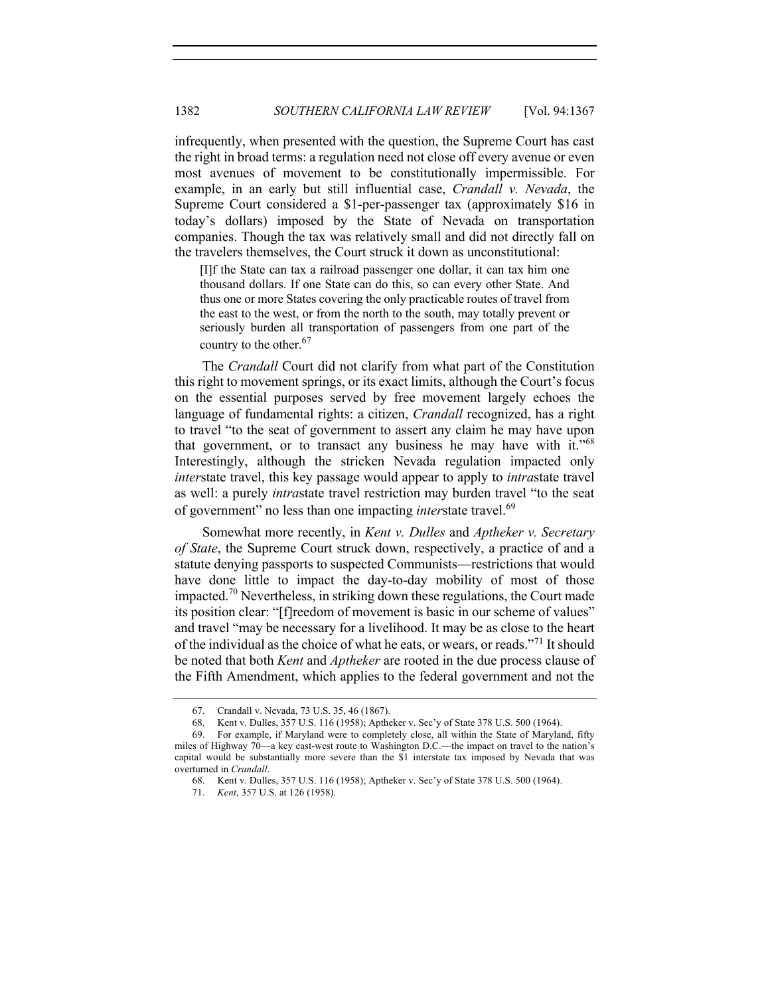infrequently, when presented with the question, the Supreme Court has cast the right in broad terms: a regulation need not close off every avenue or even most avenues of movement to be constitutionally impermissible. For example, in an early but still influential case, *Crandall v. Nevada*, the Supreme Court considered a \$1-per-passenger tax (approximately \$16 in today's dollars) imposed by the State of Nevada on transportation companies. Though the tax was relatively small and did not directly fall on the travelers themselves, the Court struck it down as unconstitutional:

[I]f the State can tax a railroad passenger one dollar, it can tax him one thousand dollars. If one State can do this, so can every other State. And thus one or more States covering the only practicable routes of travel from the east to the west, or from the north to the south, may totally prevent or seriously burden all transportation of passengers from one part of the country to the other.<sup>67</sup>

The *Crandall* Court did not clarify from what part of the Constitution this right to movement springs, or its exact limits, although the Court's focus on the essential purposes served by free movement largely echoes the language of fundamental rights: a citizen, *Crandall* recognized, has a right to travel "to the seat of government to assert any claim he may have upon that government, or to transact any business he may have with it."<sup>68</sup> Interestingly, although the stricken Nevada regulation impacted only *inter*state travel, this key passage would appear to apply to *intra*state travel as well: a purely *intra*state travel restriction may burden travel "to the seat of government" no less than one impacting *interstate* travel.<sup>69</sup>

Somewhat more recently, in *Kent v. Dulles* and *Aptheker v. Secretary of State*, the Supreme Court struck down, respectively, a practice of and a statute denying passports to suspected Communists—restrictions that would have done little to impact the day-to-day mobility of most of those impacted.<sup>70</sup> Nevertheless, in striking down these regulations, the Court made its position clear: "[f]reedom of movement is basic in our scheme of values" and travel "may be necessary for a livelihood. It may be as close to the heart of the individual as the choice of what he eats, or wears, or reads."<sup>71</sup> It should be noted that both *Kent* and *Aptheker* are rooted in the due process clause of the Fifth Amendment, which applies to the federal government and not the

<sup>67.</sup> Crandall v. Nevada, 73 U.S. 35, 46 (1867).

<sup>68.</sup> Kent v. Dulles, 357 U.S. 116 (1958); Aptheker v. Sec'y of State 378 U.S. 500 (1964).

<sup>69.</sup> For example, if Maryland were to completely close, all within the State of Maryland, fifty miles of Highway 70—a key east-west route to Washington D.C.—the impact on travel to the nation's capital would be substantially more severe than the \$1 interstate tax imposed by Nevada that was overturned in *Crandall*.

<sup>68.</sup> Kent v. Dulles, 357 U.S. 116 (1958); Aptheker v. Sec'y of State 378 U.S. 500 (1964).

<sup>71.</sup> *Kent*, 357 U.S. at 126 (1958).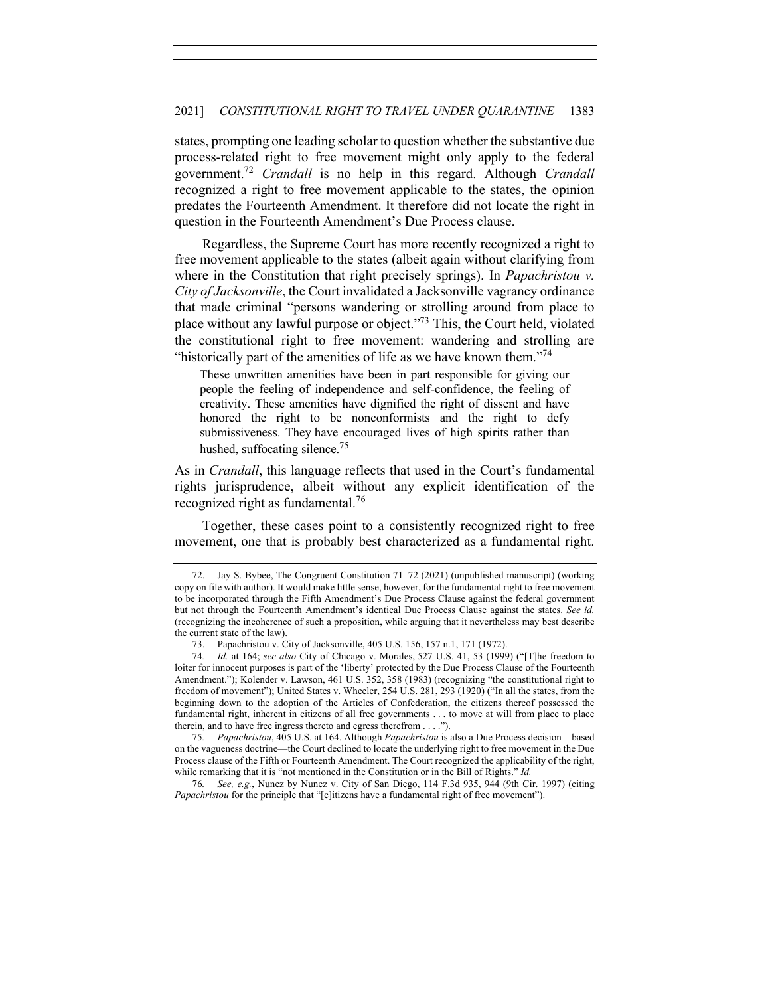states, prompting one leading scholar to question whether the substantive due process-related right to free movement might only apply to the federal government.72 *Crandall* is no help in this regard. Although *Crandall* recognized a right to free movement applicable to the states, the opinion predates the Fourteenth Amendment. It therefore did not locate the right in question in the Fourteenth Amendment's Due Process clause.

Regardless, the Supreme Court has more recently recognized a right to free movement applicable to the states (albeit again without clarifying from where in the Constitution that right precisely springs). In *Papachristou v. City of Jacksonville*, the Court invalidated a Jacksonville vagrancy ordinance that made criminal "persons wandering or strolling around from place to place without any lawful purpose or object."73 This, the Court held, violated the constitutional right to free movement: wandering and strolling are "historically part of the amenities of life as we have known them."<sup>74</sup>

These unwritten amenities have been in part responsible for giving our people the feeling of independence and self-confidence, the feeling of creativity. These amenities have dignified the right of dissent and have honored the right to be nonconformists and the right to defy submissiveness. They have encouraged lives of high spirits rather than hushed, suffocating silence.<sup>75</sup>

As in *Crandall*, this language reflects that used in the Court's fundamental rights jurisprudence, albeit without any explicit identification of the recognized right as fundamental.<sup>76</sup>

Together, these cases point to a consistently recognized right to free movement, one that is probably best characterized as a fundamental right.

75*. Papachristou*, 405 U.S. at 164. Although *Papachristou* is also a Due Process decision—based on the vagueness doctrine—the Court declined to locate the underlying right to free movement in the Due Process clause of the Fifth or Fourteenth Amendment. The Court recognized the applicability of the right, while remarking that it is "not mentioned in the Constitution or in the Bill of Rights." *Id.*

76*. See, e.g.*, Nunez by Nunez v. City of San Diego, 114 F.3d 935, 944 (9th Cir. 1997) (citing *Papachristou* for the principle that "[c]itizens have a fundamental right of free movement").

<sup>72.</sup> Jay S. Bybee, The Congruent Constitution 71–72 (2021) (unpublished manuscript) (working copy on file with author). It would make little sense, however, for the fundamental right to free movement to be incorporated through the Fifth Amendment's Due Process Clause against the federal government but not through the Fourteenth Amendment's identical Due Process Clause against the states. *See id.* (recognizing the incoherence of such a proposition, while arguing that it nevertheless may best describe the current state of the law).

<sup>73.</sup> Papachristou v. City of Jacksonville, 405 U.S. 156, 157 n.1, 171 (1972).

<sup>74</sup>*. Id.* at 164; *see also* City of Chicago v. Morales, 527 U.S. 41, 53 (1999) ("[T]he freedom to loiter for innocent purposes is part of the 'liberty' protected by the Due Process Clause of the Fourteenth Amendment."); Kolender v. Lawson, 461 U.S. 352, 358 (1983) (recognizing "the constitutional right to freedom of movement"); United States v. Wheeler, 254 U.S. 281, 293 (1920) ("In all the states, from the beginning down to the adoption of the Articles of Confederation, the citizens thereof possessed the fundamental right, inherent in citizens of all free governments . . . to move at will from place to place therein, and to have free ingress thereto and egress therefrom . . . .").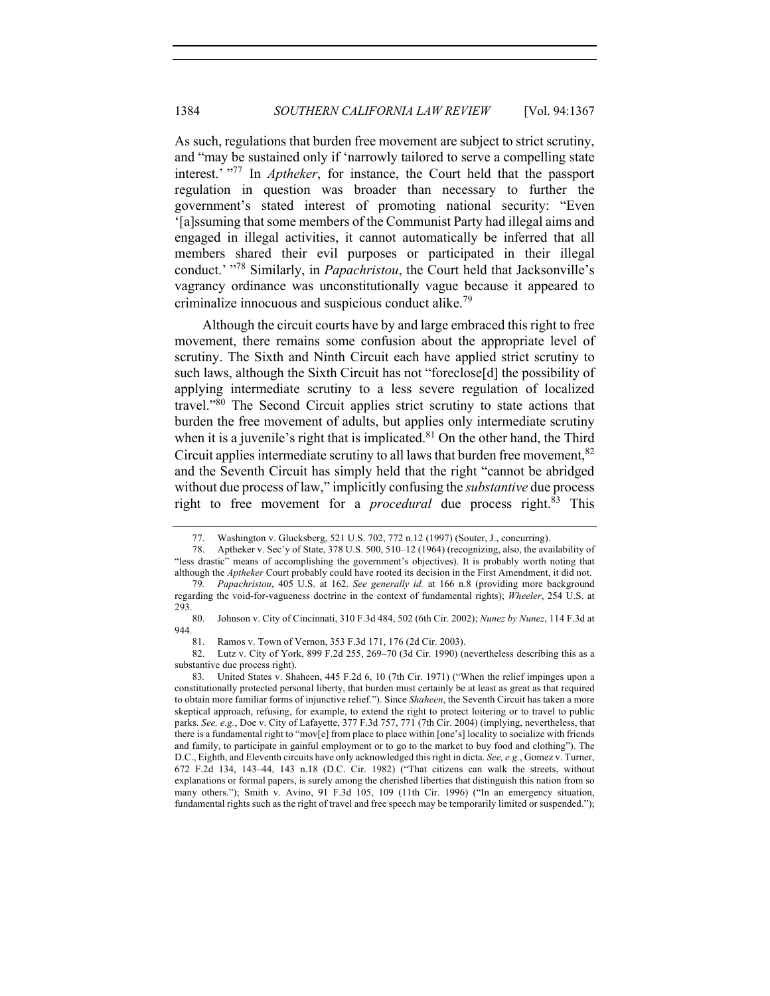As such, regulations that burden free movement are subject to strict scrutiny, and "may be sustained only if 'narrowly tailored to serve a compelling state interest.' "<sup>77</sup> In *Aptheker*, for instance, the Court held that the passport regulation in question was broader than necessary to further the government's stated interest of promoting national security: "Even '[a]ssuming that some members of the Communist Party had illegal aims and engaged in illegal activities, it cannot automatically be inferred that all members shared their evil purposes or participated in their illegal conduct.' "<sup>78</sup> Similarly, in *Papachristou*, the Court held that Jacksonville's vagrancy ordinance was unconstitutionally vague because it appeared to criminalize innocuous and suspicious conduct alike.<sup>79</sup>

Although the circuit courts have by and large embraced this right to free movement, there remains some confusion about the appropriate level of scrutiny. The Sixth and Ninth Circuit each have applied strict scrutiny to such laws, although the Sixth Circuit has not "foreclose[d] the possibility of applying intermediate scrutiny to a less severe regulation of localized travel. $^{980}$  The Second Circuit applies strict scrutiny to state actions that burden the free movement of adults, but applies only intermediate scrutiny when it is a juvenile's right that is implicated.<sup>81</sup> On the other hand, the Third Circuit applies intermediate scrutiny to all laws that burden free movement,  $82$ and the Seventh Circuit has simply held that the right "cannot be abridged without due process of law," implicitly confusing the *substantive* due process right to free movement for a *procedural* due process right.<sup>83</sup> This

81. Ramos v. Town of Vernon, 353 F.3d 171, 176 (2d Cir. 2003).

<sup>77.</sup> Washington v. Glucksberg, 521 U.S. 702, 772 n.12 (1997) (Souter, J., concurring).

<sup>78.</sup> Aptheker v. Sec'y of State, 378 U.S. 500, 510–12 (1964) (recognizing, also, the availability of "less drastic" means of accomplishing the government's objectives). It is probably worth noting that although the *Aptheker* Court probably could have rooted its decision in the First Amendment, it did not. 79*. Papachristou*, 405 U.S. at 162. *See generally id.* at 166 n.8 (providing more background

regarding the void-for-vagueness doctrine in the context of fundamental rights); *Wheeler*, 254 U.S. at 293.

<sup>80.</sup> Johnson v. City of Cincinnati, 310 F.3d 484, 502 (6th Cir. 2002); *Nunez by Nunez*, 114 F.3d at  $944.$  81.

<sup>82.</sup> Lutz v. City of York, 899 F.2d 255, 269–70 (3d Cir. 1990) (nevertheless describing this as a substantive due process right).

<sup>83</sup>*.* United States v. Shaheen, 445 F.2d 6, 10 (7th Cir. 1971) ("When the relief impinges upon a constitutionally protected personal liberty, that burden must certainly be at least as great as that required to obtain more familiar forms of injunctive relief."). Since *Shaheen*, the Seventh Circuit has taken a more skeptical approach, refusing, for example, to extend the right to protect loitering or to travel to public parks. *See, e.g.*, Doe v. City of Lafayette, 377 F.3d 757, 771 (7th Cir. 2004) (implying, nevertheless, that there is a fundamental right to "mov[e] from place to place within [one's] locality to socialize with friends and family, to participate in gainful employment or to go to the market to buy food and clothing"). The D.C., Eighth, and Eleventh circuits have only acknowledged this right in dicta. *See, e.g.*, Gomez v. Turner, 672 F.2d 134, 143–44, 143 n.18 (D.C. Cir. 1982) ("That citizens can walk the streets, without explanations or formal papers, is surely among the cherished liberties that distinguish this nation from so many others."); Smith v. Avino, 91 F.3d 105, 109 (11th Cir. 1996) ("In an emergency situation, fundamental rights such as the right of travel and free speech may be temporarily limited or suspended.");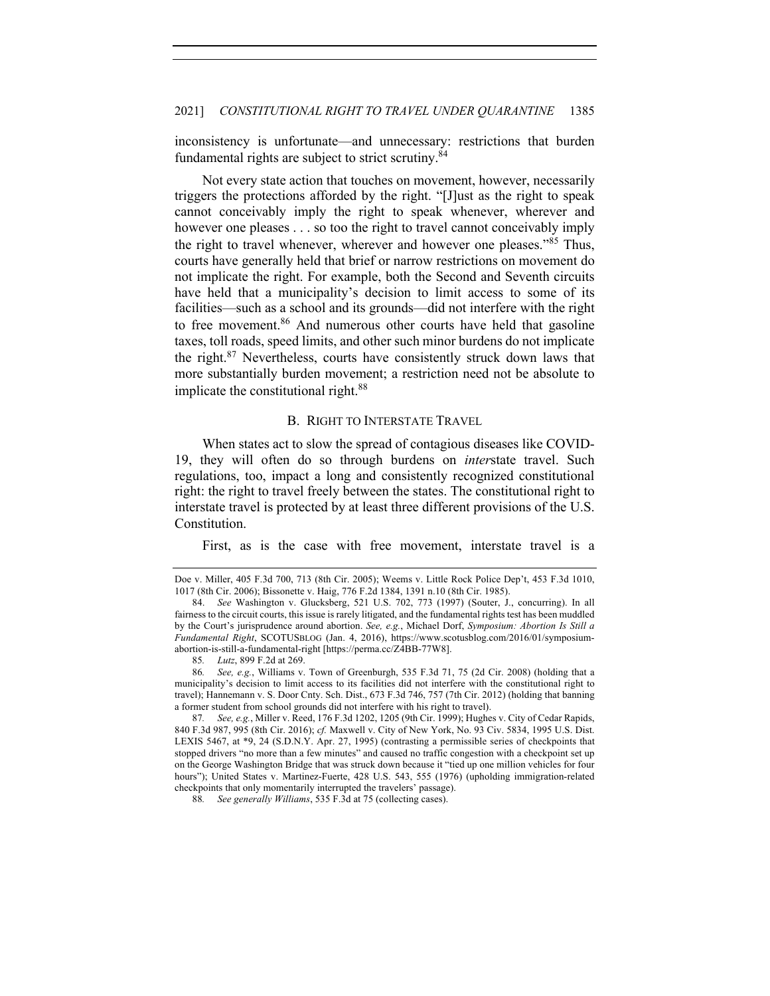inconsistency is unfortunate—and unnecessary: restrictions that burden fundamental rights are subject to strict scrutiny.<sup>84</sup>

Not every state action that touches on movement, however, necessarily triggers the protections afforded by the right. "[J]ust as the right to speak cannot conceivably imply the right to speak whenever, wherever and however one pleases . . . so too the right to travel cannot conceivably imply the right to travel whenever, wherever and however one pleases.<sup>385</sup> Thus, courts have generally held that brief or narrow restrictions on movement do not implicate the right. For example, both the Second and Seventh circuits have held that a municipality's decision to limit access to some of its facilities—such as a school and its grounds—did not interfere with the right to free movement.<sup>86</sup> And numerous other courts have held that gasoline taxes, toll roads, speed limits, and other such minor burdens do not implicate the right. $87$  Nevertheless, courts have consistently struck down laws that more substantially burden movement; a restriction need not be absolute to implicate the constitutional right.<sup>88</sup>

## B. RIGHT TO INTERSTATE TRAVEL

When states act to slow the spread of contagious diseases like COVID-19, they will often do so through burdens on *inter*state travel. Such regulations, too, impact a long and consistently recognized constitutional right: the right to travel freely between the states. The constitutional right to interstate travel is protected by at least three different provisions of the U.S. Constitution.

First, as is the case with free movement, interstate travel is a

Doe v. Miller, 405 F.3d 700, 713 (8th Cir. 2005); Weems v. Little Rock Police Dep't, 453 F.3d 1010, 1017 (8th Cir. 2006); Bissonette v. Haig, 776 F.2d 1384, 1391 n.10 (8th Cir. 1985).

<sup>84.</sup> *See* Washington v. Glucksberg, 521 U.S. 702, 773 (1997) (Souter, J., concurring). In all fairness to the circuit courts, this issue is rarely litigated, and the fundamental rights test has been muddled by the Court's jurisprudence around abortion. *See, e.g.*, Michael Dorf, *Symposium: Abortion Is Still a Fundamental Right*, SCOTUSBLOG (Jan. 4, 2016), https://www.scotusblog.com/2016/01/symposiumabortion-is-still-a-fundamental-right [https://perma.cc/Z4BB-77W8].

<sup>85</sup>*. Lutz*, 899 F.2d at 269.

<sup>86</sup>*. See, e.g.*, Williams v. Town of Greenburgh, 535 F.3d 71, 75 (2d Cir. 2008) (holding that a municipality's decision to limit access to its facilities did not interfere with the constitutional right to travel); Hannemann v. S. Door Cnty. Sch. Dist., 673 F.3d 746, 757 (7th Cir. 2012) (holding that banning a former student from school grounds did not interfere with his right to travel).

<sup>87</sup>*. See, e.g.*, Miller v. Reed, 176 F.3d 1202, 1205 (9th Cir. 1999); Hughes v. City of Cedar Rapids, 840 F.3d 987, 995 (8th Cir. 2016); *cf.* Maxwell v. City of New York, No. 93 Civ. 5834, 1995 U.S. Dist. LEXIS 5467, at \*9, 24 (S.D.N.Y. Apr. 27, 1995) (contrasting a permissible series of checkpoints that stopped drivers "no more than a few minutes" and caused no traffic congestion with a checkpoint set up on the George Washington Bridge that was struck down because it "tied up one million vehicles for four hours"); United States v. Martinez-Fuerte, 428 U.S. 543, 555 (1976) (upholding immigration-related checkpoints that only momentarily interrupted the travelers' passage).

<sup>88</sup>*. See generally Williams*, 535 F.3d at 75 (collecting cases).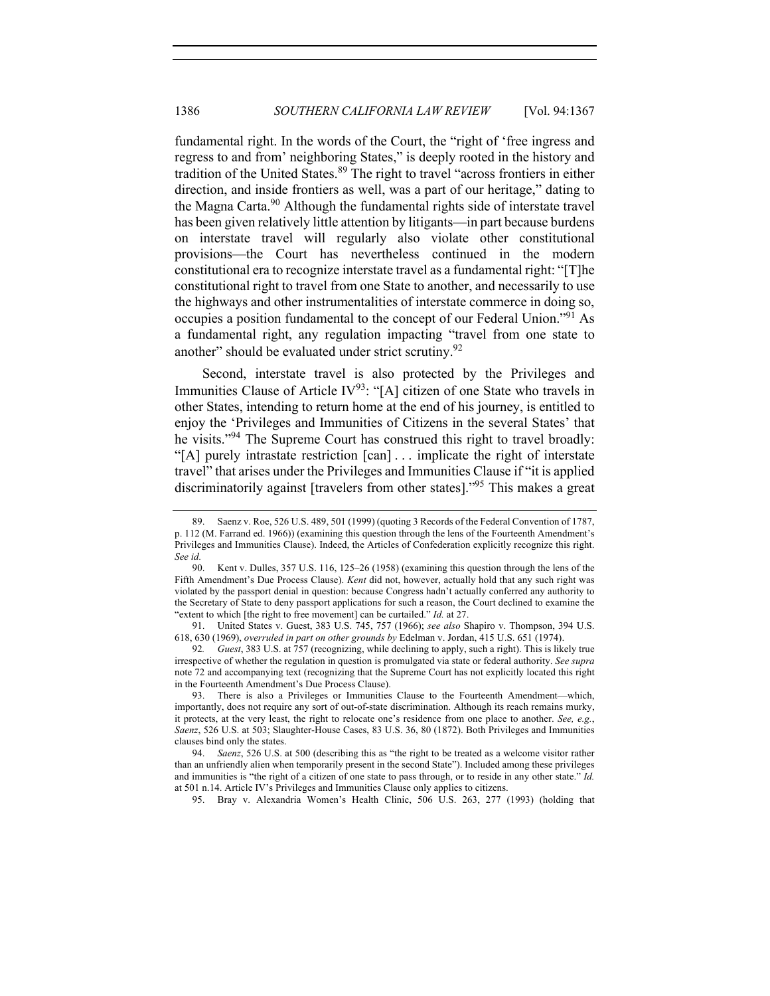fundamental right. In the words of the Court, the "right of 'free ingress and regress to and from' neighboring States," is deeply rooted in the history and tradition of the United States. <sup>89</sup> The right to travel "across frontiers in either direction, and inside frontiers as well, was a part of our heritage," dating to the Magna Carta.<sup>90</sup> Although the fundamental rights side of interstate travel has been given relatively little attention by litigants—in part because burdens on interstate travel will regularly also violate other constitutional provisions—the Court has nevertheless continued in the modern constitutional era to recognize interstate travel as a fundamental right: "[T]he constitutional right to travel from one State to another, and necessarily to use the highways and other instrumentalities of interstate commerce in doing so, occupies a position fundamental to the concept of our Federal Union."91 As a fundamental right, any regulation impacting "travel from one state to another" should be evaluated under strict scrutiny.<sup>92</sup>

Second, interstate travel is also protected by the Privileges and Immunities Clause of Article IV<sup>93</sup>: "[A] citizen of one State who travels in other States, intending to return home at the end of his journey, is entitled to enjoy the 'Privileges and Immunities of Citizens in the several States' that he visits."<sup>94</sup> The Supreme Court has construed this right to travel broadly: "[A] purely intrastate restriction [can] . . . implicate the right of interstate travel" that arises under the Privileges and Immunities Clause if "it is applied discriminatorily against [travelers from other states]."95 This makes a great

95. Bray v. Alexandria Women's Health Clinic, 506 U.S. 263, 277 (1993) (holding that

<sup>89.</sup> Saenz v. Roe, 526 U.S. 489, 501 (1999) (quoting 3 Records of the Federal Convention of 1787, p. 112 (M. Farrand ed. 1966)) (examining this question through the lens of the Fourteenth Amendment's Privileges and Immunities Clause). Indeed, the Articles of Confederation explicitly recognize this right. *See id.*

<sup>90.</sup> Kent v. Dulles, 357 U.S. 116, 125–26 (1958) (examining this question through the lens of the Fifth Amendment's Due Process Clause). *Kent* did not, however, actually hold that any such right was violated by the passport denial in question: because Congress hadn't actually conferred any authority to the Secretary of State to deny passport applications for such a reason, the Court declined to examine the "extent to which [the right to free movement] can be curtailed." *Id.* at 27.

<sup>91.</sup> United States v. Guest, 383 U.S. 745, 757 (1966); *see also* Shapiro v. Thompson, 394 U.S. 618, 630 (1969), *overruled in part on other grounds by* Edelman v. Jordan, 415 U.S. 651 (1974).

<sup>92</sup>*. Guest*, 383 U.S. at 757 (recognizing, while declining to apply, such a right). This is likely true irrespective of whether the regulation in question is promulgated via state or federal authority. *See supra* note 72 and accompanying text (recognizing that the Supreme Court has not explicitly located this right in the Fourteenth Amendment's Due Process Clause).

<sup>93.</sup> There is also a Privileges or Immunities Clause to the Fourteenth Amendment—which, importantly, does not require any sort of out-of-state discrimination. Although its reach remains murky, it protects, at the very least, the right to relocate one's residence from one place to another. *See, e.g.*, *Saenz*, 526 U.S. at 503; Slaughter-House Cases, 83 U.S. 36, 80 (1872). Both Privileges and Immunities clauses bind only the states.

<sup>94.</sup> *Saenz*, 526 U.S. at 500 (describing this as "the right to be treated as a welcome visitor rather than an unfriendly alien when temporarily present in the second State"). Included among these privileges and immunities is "the right of a citizen of one state to pass through, or to reside in any other state." *Id.* at 501 n.14. Article IV's Privileges and Immunities Clause only applies to citizens.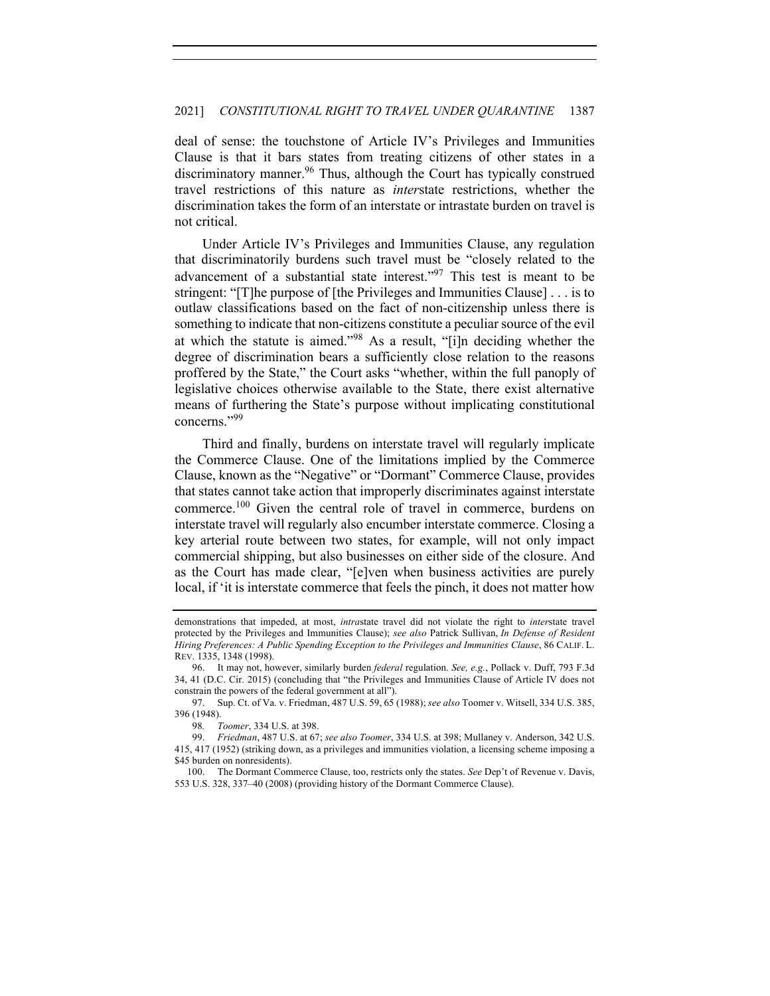deal of sense: the touchstone of Article IV's Privileges and Immunities Clause is that it bars states from treating citizens of other states in a discriminatory manner.<sup>96</sup> Thus, although the Court has typically construed travel restrictions of this nature as *inter*state restrictions, whether the discrimination takes the form of an interstate or intrastate burden on travel is not critical.

Under Article IV's Privileges and Immunities Clause, any regulation that discriminatorily burdens such travel must be "closely related to the advancement of a substantial state interest."<sup>97</sup> This test is meant to be stringent: "[T]he purpose of [the Privileges and Immunities Clause] . . . is to outlaw classifications based on the fact of non-citizenship unless there is something to indicate that non-citizens constitute a peculiar source of the evil at which the statute is aimed."<sup>98</sup> As a result, "[i]n deciding whether the degree of discrimination bears a sufficiently close relation to the reasons proffered by the State," the Court asks "whether, within the full panoply of legislative choices otherwise available to the State, there exist alternative means of furthering the State's purpose without implicating constitutional concerns."<sup>99</sup>

Third and finally, burdens on interstate travel will regularly implicate the Commerce Clause. One of the limitations implied by the Commerce Clause, known as the "Negative" or "Dormant" Commerce Clause, provides that states cannot take action that improperly discriminates against interstate commerce.<sup>100</sup> Given the central role of travel in commerce, burdens on interstate travel will regularly also encumber interstate commerce. Closing a key arterial route between two states, for example, will not only impact commercial shipping, but also businesses on either side of the closure. And as the Court has made clear, "[e]ven when business activities are purely local, if 'it is interstate commerce that feels the pinch, it does not matter how

demonstrations that impeded, at most, *intra*state travel did not violate the right to *inter*state travel protected by the Privileges and Immunities Clause); *see also* Patrick Sullivan, *In Defense of Resident Hiring Preferences: A Public Spending Exception to the Privileges and Immunities Clause*, 86 CALIF. L. REV. 1335, 1348 (1998).

<sup>96.</sup> It may not, however, similarly burden *federal* regulation. *See, e.g.*, Pollack v. Duff, 793 F.3d 34, 41 (D.C. Cir. 2015) (concluding that "the Privileges and Immunities Clause of Article IV does not constrain the powers of the federal government at all").

<sup>97.</sup> Sup. Ct. of Va. v. Friedman, 487 U.S. 59, 65 (1988); *see also* Toomer v. Witsell, 334 U.S. 385, 396 (1948).

<sup>98</sup>*. Toomer*, 334 U.S. at 398.

<sup>99.</sup> *Friedman*, 487 U.S. at 67; *see also Toomer*, 334 U.S. at 398; Mullaney v. Anderson, 342 U.S. 415, 417 (1952) (striking down, as a privileges and immunities violation, a licensing scheme imposing a \$45 burden on nonresidents).

<sup>100.</sup> The Dormant Commerce Clause, too, restricts only the states. *See* Dep't of Revenue v. Davis, 553 U.S. 328, 337–40 (2008) (providing history of the Dormant Commerce Clause).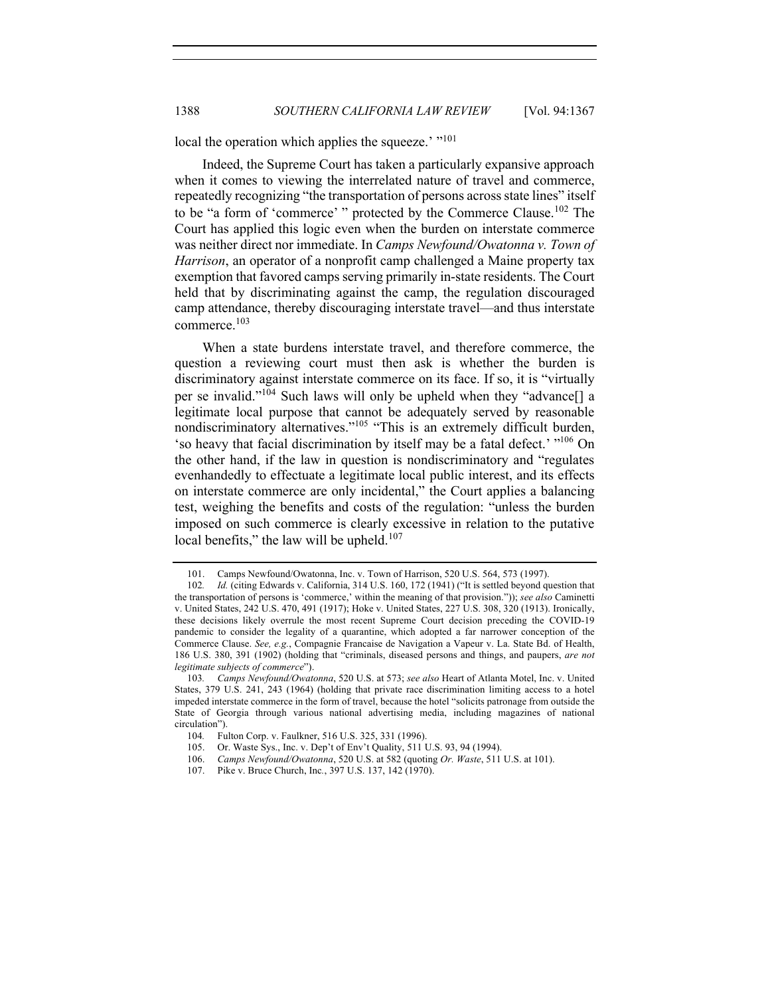local the operation which applies the squeeze.' "<sup>101</sup>

Indeed, the Supreme Court has taken a particularly expansive approach when it comes to viewing the interrelated nature of travel and commerce, repeatedly recognizing "the transportation of persons across state lines" itself to be "a form of 'commerce' " protected by the Commerce Clause.<sup>102</sup> The Court has applied this logic even when the burden on interstate commerce was neither direct nor immediate. In *Camps Newfound/Owatonna v. Town of Harrison*, an operator of a nonprofit camp challenged a Maine property tax exemption that favored camps serving primarily in-state residents. The Court held that by discriminating against the camp, the regulation discouraged camp attendance, thereby discouraging interstate travel—and thus interstate commerce.103

When a state burdens interstate travel, and therefore commerce, the question a reviewing court must then ask is whether the burden is discriminatory against interstate commerce on its face. If so, it is "virtually per se invalid."<sup>104</sup> Such laws will only be upheld when they "advance[] a legitimate local purpose that cannot be adequately served by reasonable nondiscriminatory alternatives."<sup>105</sup> "This is an extremely difficult burden, 'so heavy that facial discrimination by itself may be a fatal defect.' "106 On the other hand, if the law in question is nondiscriminatory and "regulates evenhandedly to effectuate a legitimate local public interest, and its effects on interstate commerce are only incidental," the Court applies a balancing test, weighing the benefits and costs of the regulation: "unless the burden imposed on such commerce is clearly excessive in relation to the putative local benefits," the law will be upheld. $107$ 

<sup>101.</sup> Camps Newfound/Owatonna, Inc. v. Town of Harrison, 520 U.S. 564, 573 (1997).

<sup>102</sup>*. Id.* (citing Edwards v. California, 314 U.S. 160, 172 (1941) ("It is settled beyond question that the transportation of persons is 'commerce,' within the meaning of that provision.")); *see also* Caminetti v. United States, 242 U.S. 470, 491 (1917); Hoke v. United States, 227 U.S. 308, 320 (1913). Ironically, these decisions likely overrule the most recent Supreme Court decision preceding the COVID-19 pandemic to consider the legality of a quarantine, which adopted a far narrower conception of the Commerce Clause. *See, e.g.*, Compagnie Francaise de Navigation a Vapeur v. La. State Bd. of Health, 186 U.S. 380, 391 (1902) (holding that "criminals, diseased persons and things, and paupers, *are not legitimate subjects of commerce*").

<sup>103</sup>*. Camps Newfound/Owatonna*, 520 U.S. at 573; *see also* Heart of Atlanta Motel, Inc. v. United States, 379 U.S. 241, 243 (1964) (holding that private race discrimination limiting access to a hotel impeded interstate commerce in the form of travel, because the hotel "solicits patronage from outside the State of Georgia through various national advertising media, including magazines of national circulation").

<sup>104.</sup> Fulton Corp. v. Faulkner, 516 U.S. 325, 331 (1996).<br>105. Or. Waste Sys., Inc. v. Den't of Env't Quality, 511 I

Or. Waste Sys., Inc. v. Dep't of Env't Quality, 511 U.S. 93, 94 (1994).

<sup>106.</sup> *Camps Newfound/Owatonna*, 520 U.S. at 582 (quoting *Or. Waste*, 511 U.S. at 101).

<sup>107.</sup> Pike v. Bruce Church, Inc*.*, 397 U.S. 137, 142 (1970).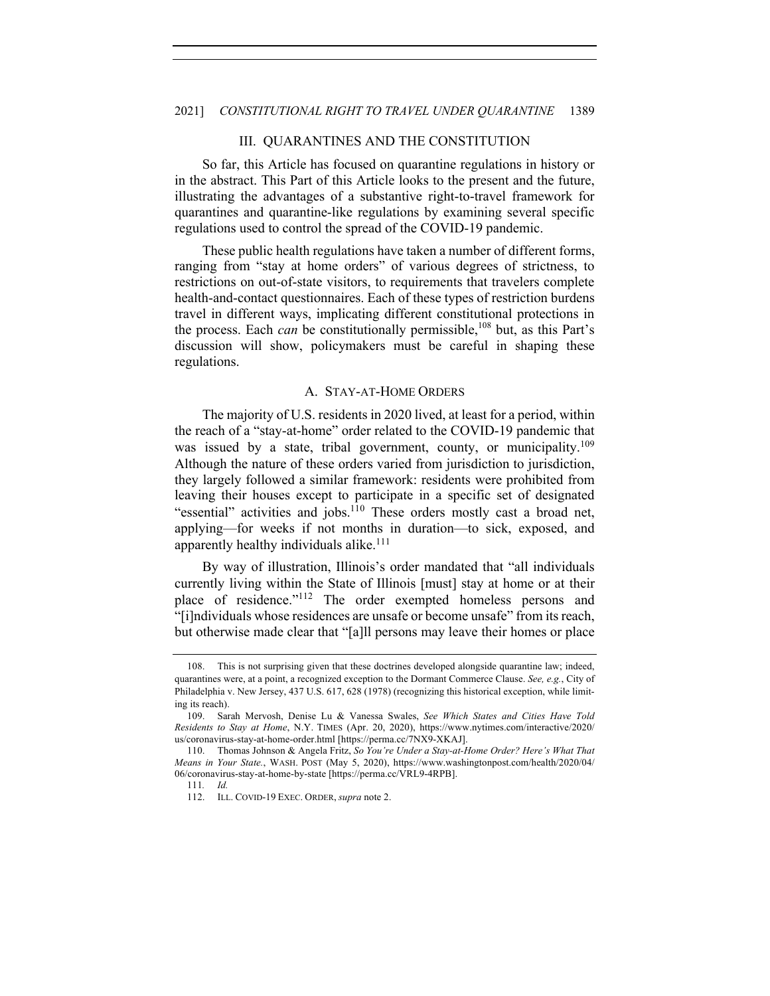#### III. QUARANTINES AND THE CONSTITUTION

So far, this Article has focused on quarantine regulations in history or in the abstract. This Part of this Article looks to the present and the future, illustrating the advantages of a substantive right-to-travel framework for quarantines and quarantine-like regulations by examining several specific regulations used to control the spread of the COVID-19 pandemic.

These public health regulations have taken a number of different forms, ranging from "stay at home orders" of various degrees of strictness, to restrictions on out-of-state visitors, to requirements that travelers complete health-and-contact questionnaires. Each of these types of restriction burdens travel in different ways, implicating different constitutional protections in the process. Each *can* be constitutionally permissible,<sup>108</sup> but, as this Part's discussion will show, policymakers must be careful in shaping these regulations.

#### A. STAY-AT-HOME ORDERS

The majority of U.S. residents in 2020 lived, at least for a period, within the reach of a "stay-at-home" order related to the COVID-19 pandemic that was issued by a state, tribal government, county, or municipality.<sup>109</sup> Although the nature of these orders varied from jurisdiction to jurisdiction, they largely followed a similar framework: residents were prohibited from leaving their houses except to participate in a specific set of designated "essential" activities and jobs.<sup>110</sup> These orders mostly cast a broad net, applying—for weeks if not months in duration—to sick, exposed, and apparently healthy individuals alike. $111$ 

By way of illustration, Illinois's order mandated that "all individuals currently living within the State of Illinois [must] stay at home or at their place of residence."112 The order exempted homeless persons and "[i]ndividuals whose residences are unsafe or become unsafe" from its reach, but otherwise made clear that "[a]ll persons may leave their homes or place

<sup>108.</sup> This is not surprising given that these doctrines developed alongside quarantine law; indeed, quarantines were, at a point, a recognized exception to the Dormant Commerce Clause. *See, e.g.*, City of Philadelphia v. New Jersey, 437 U.S. 617, 628 (1978) (recognizing this historical exception, while limiting its reach).

<sup>109.</sup> Sarah Mervosh, Denise Lu & Vanessa Swales, *See Which States and Cities Have Told Residents to Stay at Home*, N.Y. TIMES (Apr. 20, 2020), https://www.nytimes.com/interactive/2020/ us/coronavirus-stay-at-home-order.html [https://perma.cc/7NX9-XKAJ].

<sup>110.</sup> Thomas Johnson & Angela Fritz, *So You're Under a Stay-at-Home Order? Here's What That Means in Your State.*, WASH. POST (May 5, 2020), https://www.washingtonpost.com/health/2020/04/ 06/coronavirus-stay-at-home-by-state [https://perma.cc/VRL9-4RPB].

<sup>111</sup>*. Id.*

<sup>112.</sup> ILL. COVID-19 EXEC. ORDER, *supra* note 2.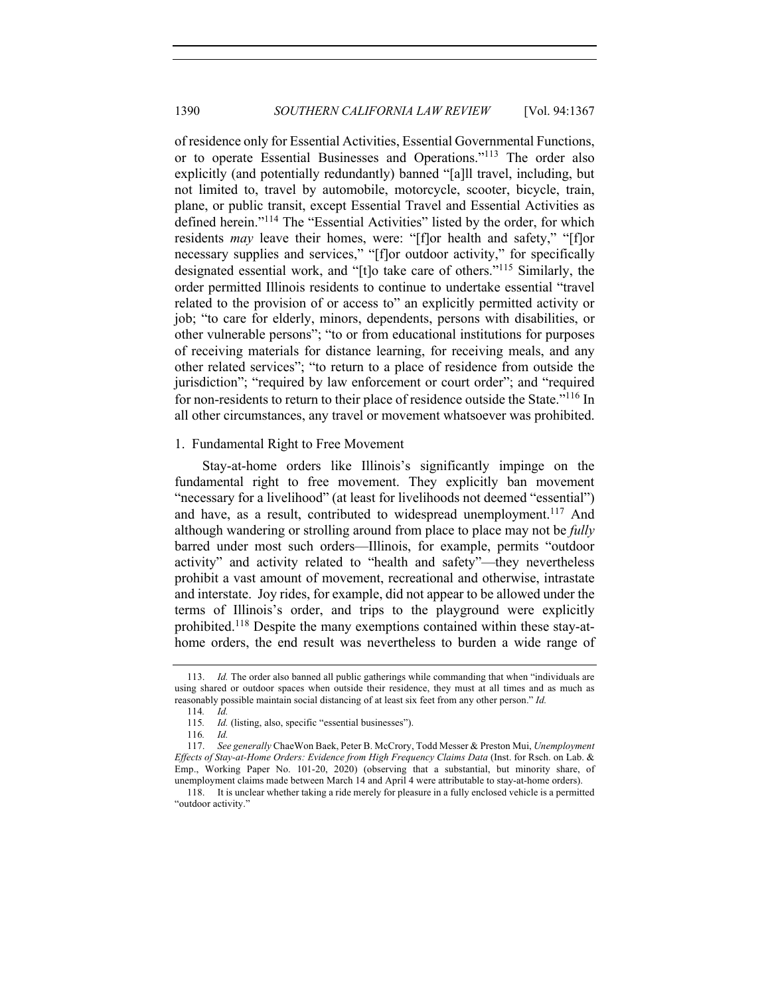of residence only for Essential Activities, Essential Governmental Functions, or to operate Essential Businesses and Operations."113 The order also explicitly (and potentially redundantly) banned "[a]ll travel, including, but not limited to, travel by automobile, motorcycle, scooter, bicycle, train, plane, or public transit, except Essential Travel and Essential Activities as defined herein."<sup>114</sup> The "Essential Activities" listed by the order, for which residents *may* leave their homes, were: "[f]or health and safety," "[f]or necessary supplies and services," "[f]or outdoor activity," for specifically designated essential work, and "[t]o take care of others."115 Similarly, the order permitted Illinois residents to continue to undertake essential "travel related to the provision of or access to" an explicitly permitted activity or job; "to care for elderly, minors, dependents, persons with disabilities, or other vulnerable persons"; "to or from educational institutions for purposes of receiving materials for distance learning, for receiving meals, and any other related services"; "to return to a place of residence from outside the jurisdiction"; "required by law enforcement or court order"; and "required for non-residents to return to their place of residence outside the State."<sup>116</sup> In all other circumstances, any travel or movement whatsoever was prohibited.

#### 1. Fundamental Right to Free Movement

Stay-at-home orders like Illinois's significantly impinge on the fundamental right to free movement. They explicitly ban movement "necessary for a livelihood" (at least for livelihoods not deemed "essential") and have, as a result, contributed to widespread unemployment.<sup>117</sup> And although wandering or strolling around from place to place may not be *fully* barred under most such orders—Illinois, for example, permits "outdoor activity" and activity related to "health and safety"—they nevertheless prohibit a vast amount of movement, recreational and otherwise, intrastate and interstate. Joy rides, for example, did not appear to be allowed under the terms of Illinois's order, and trips to the playground were explicitly prohibited.<sup>118</sup> Despite the many exemptions contained within these stay-athome orders, the end result was nevertheless to burden a wide range of

<sup>113.</sup> *Id.* The order also banned all public gatherings while commanding that when "individuals are using shared or outdoor spaces when outside their residence, they must at all times and as much as reasonably possible maintain social distancing of at least six feet from any other person." *Id.* 114*. Id.*

<sup>115.</sup> *Id.* (listing, also, specific "essential businesses").

<sup>116</sup>*. Id.*

<sup>117.</sup> *See generally* ChaeWon Baek, Peter B. McCrory, Todd Messer & Preston Mui, *Unemployment Effects of Stay-at-Home Orders: Evidence from High Frequency Claims Data* (Inst. for Rsch. on Lab. & Emp., Working Paper No. 101-20, 2020) (observing that a substantial, but minority share, of unemployment claims made between March 14 and April 4 were attributable to stay-at-home orders).

<sup>118.</sup> It is unclear whether taking a ride merely for pleasure in a fully enclosed vehicle is a permitted "outdoor activity."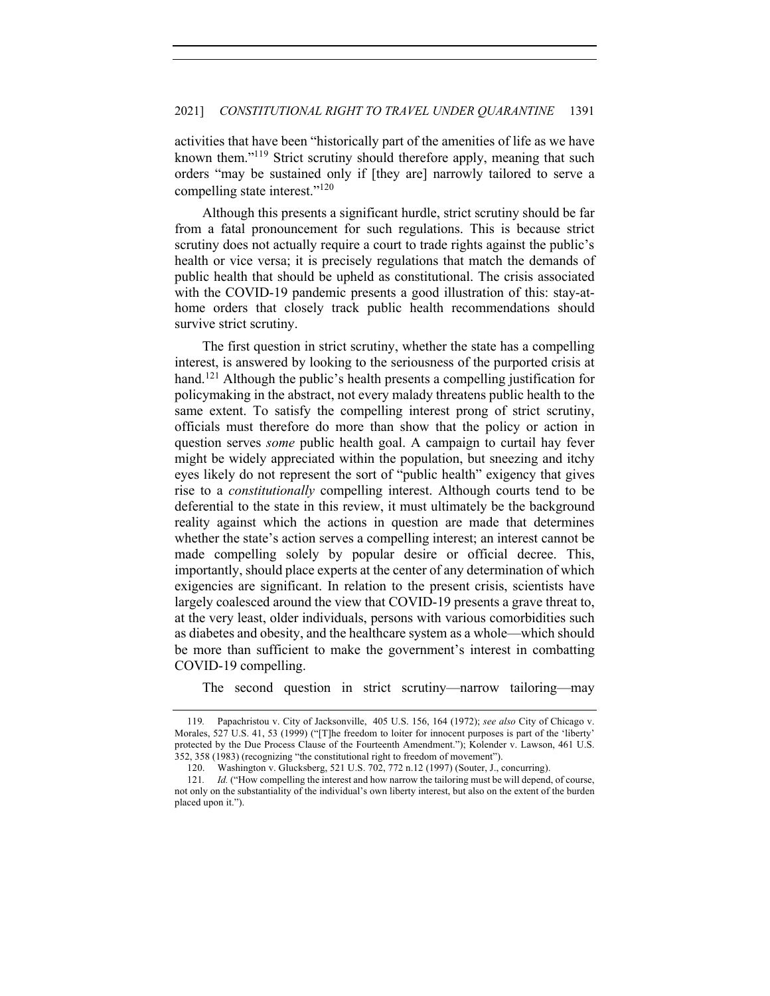activities that have been "historically part of the amenities of life as we have known them."<sup>119</sup> Strict scrutiny should therefore apply, meaning that such orders "may be sustained only if [they are] narrowly tailored to serve a compelling state interest."120

Although this presents a significant hurdle, strict scrutiny should be far from a fatal pronouncement for such regulations. This is because strict scrutiny does not actually require a court to trade rights against the public's health or vice versa; it is precisely regulations that match the demands of public health that should be upheld as constitutional. The crisis associated with the COVID-19 pandemic presents a good illustration of this: stay-athome orders that closely track public health recommendations should survive strict scrutiny.

The first question in strict scrutiny, whether the state has a compelling interest, is answered by looking to the seriousness of the purported crisis at hand.<sup>121</sup> Although the public's health presents a compelling justification for policymaking in the abstract, not every malady threatens public health to the same extent. To satisfy the compelling interest prong of strict scrutiny, officials must therefore do more than show that the policy or action in question serves *some* public health goal. A campaign to curtail hay fever might be widely appreciated within the population, but sneezing and itchy eyes likely do not represent the sort of "public health" exigency that gives rise to a *constitutionally* compelling interest. Although courts tend to be deferential to the state in this review, it must ultimately be the background reality against which the actions in question are made that determines whether the state's action serves a compelling interest; an interest cannot be made compelling solely by popular desire or official decree. This, importantly, should place experts at the center of any determination of which exigencies are significant. In relation to the present crisis, scientists have largely coalesced around the view that COVID-19 presents a grave threat to, at the very least, older individuals, persons with various comorbidities such as diabetes and obesity, and the healthcare system as a whole—which should be more than sufficient to make the government's interest in combatting COVID-19 compelling.

The second question in strict scrutiny—narrow tailoring—may

<sup>119</sup>*.* Papachristou v. City of Jacksonville, 405 U.S. 156, 164 (1972); *see also* City of Chicago v. Morales, 527 U.S. 41, 53 (1999) ("[T]he freedom to loiter for innocent purposes is part of the 'liberty' protected by the Due Process Clause of the Fourteenth Amendment."); Kolender v. Lawson, 461 U.S. 352, 358 (1983) (recognizing "the constitutional right to freedom of movement").

<sup>120.</sup> Washington v. Glucksberg, 521 U.S. 702, 772 n.12 (1997) (Souter, J., concurring).

<sup>121</sup>*. Id.* ("How compelling the interest and how narrow the tailoring must be will depend, of course, not only on the substantiality of the individual's own liberty interest, but also on the extent of the burden placed upon it.").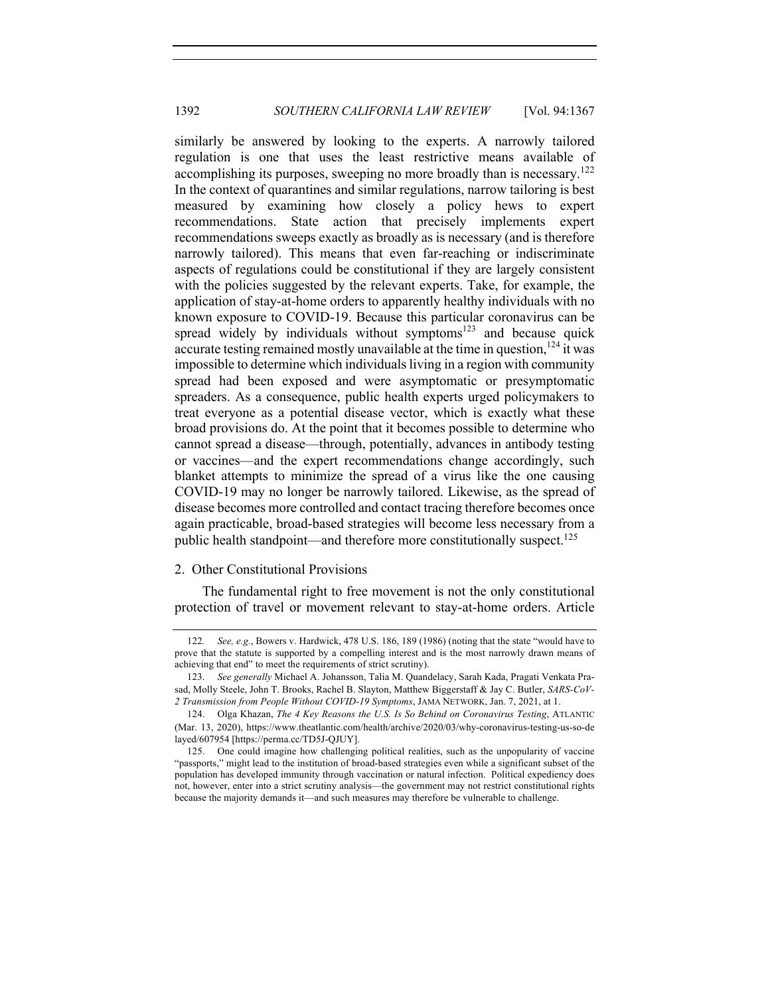similarly be answered by looking to the experts. A narrowly tailored regulation is one that uses the least restrictive means available of accomplishing its purposes, sweeping no more broadly than is necessary.<sup>122</sup> In the context of quarantines and similar regulations, narrow tailoring is best measured by examining how closely a policy hews to expert recommendations. State action that precisely implements expert recommendations sweeps exactly as broadly as is necessary (and is therefore narrowly tailored). This means that even far-reaching or indiscriminate aspects of regulations could be constitutional if they are largely consistent with the policies suggested by the relevant experts. Take, for example, the application of stay-at-home orders to apparently healthy individuals with no known exposure to COVID-19. Because this particular coronavirus can be spread widely by individuals without symptoms $123$  and because quick accurate testing remained mostly unavailable at the time in question,  $^{124}$  it was impossible to determine which individuals living in a region with community spread had been exposed and were asymptomatic or presymptomatic spreaders. As a consequence, public health experts urged policymakers to treat everyone as a potential disease vector, which is exactly what these broad provisions do. At the point that it becomes possible to determine who cannot spread a disease—through, potentially, advances in antibody testing or vaccines—and the expert recommendations change accordingly, such blanket attempts to minimize the spread of a virus like the one causing COVID-19 may no longer be narrowly tailored. Likewise, as the spread of disease becomes more controlled and contact tracing therefore becomes once again practicable, broad-based strategies will become less necessary from a public health standpoint—and therefore more constitutionally suspect.<sup>125</sup>

## 2. Other Constitutional Provisions

The fundamental right to free movement is not the only constitutional protection of travel or movement relevant to stay-at-home orders. Article

<sup>122</sup>*. See, e.g.*, Bowers v. Hardwick, 478 U.S. 186, 189 (1986) (noting that the state "would have to prove that the statute is supported by a compelling interest and is the most narrowly drawn means of achieving that end" to meet the requirements of strict scrutiny).

<sup>123.</sup> *See generally* Michael A. Johansson, Talia M. Quandelacy, Sarah Kada, Pragati Venkata Prasad, Molly Steele, John T. Brooks, Rachel B. Slayton, Matthew Biggerstaff & Jay C. Butler, *SARS-CoV-2 Transmission from People Without COVID-19 Symptoms*, JAMA NETWORK, Jan. 7, 2021, at 1.

<sup>124.</sup> Olga Khazan, *The 4 Key Reasons the U.S. Is So Behind on Coronavirus Testing*, ATLANTIC (Mar. 13, 2020), https://www.theatlantic.com/health/archive/2020/03/why-coronavirus-testing-us-so-de layed/607954 [https://perma.cc/TD5J-QJUY].

<sup>125.</sup> One could imagine how challenging political realities, such as the unpopularity of vaccine "passports," might lead to the institution of broad-based strategies even while a significant subset of the population has developed immunity through vaccination or natural infection. Political expediency does not, however, enter into a strict scrutiny analysis—the government may not restrict constitutional rights because the majority demands it—and such measures may therefore be vulnerable to challenge.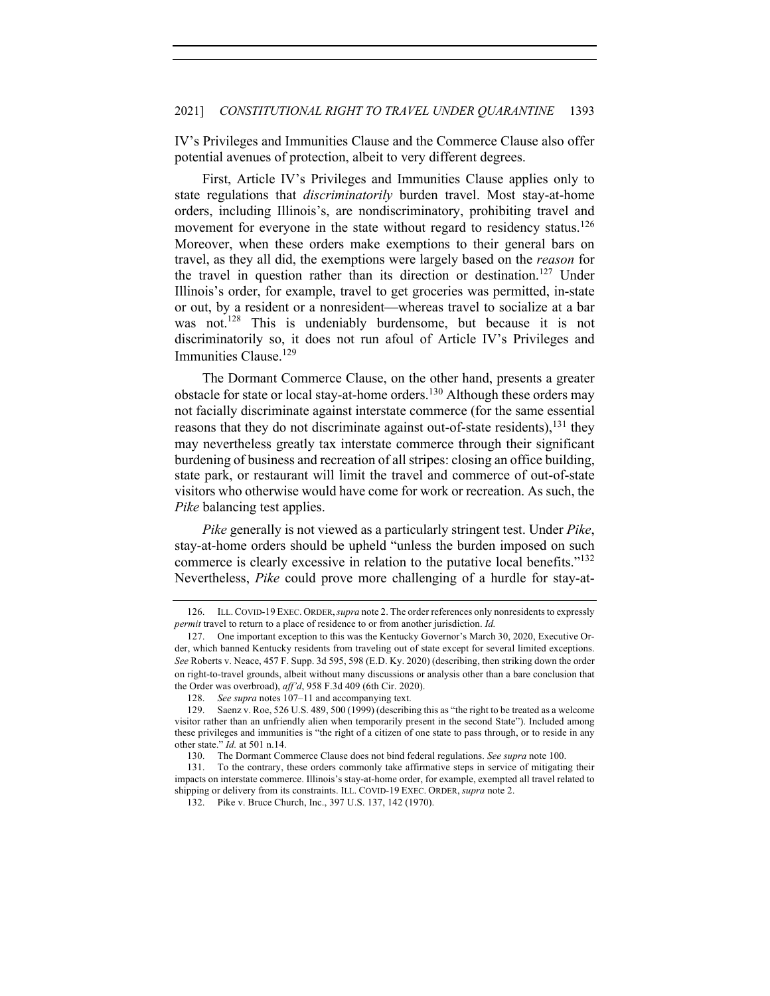IV's Privileges and Immunities Clause and the Commerce Clause also offer potential avenues of protection, albeit to very different degrees.

First, Article IV's Privileges and Immunities Clause applies only to state regulations that *discriminatorily* burden travel. Most stay-at-home orders, including Illinois's, are nondiscriminatory, prohibiting travel and movement for everyone in the state without regard to residency status.<sup>126</sup> Moreover, when these orders make exemptions to their general bars on travel, as they all did, the exemptions were largely based on the *reason* for the travel in question rather than its direction or destination.<sup>127</sup> Under Illinois's order, for example, travel to get groceries was permitted, in-state or out, by a resident or a nonresident—whereas travel to socialize at a bar was not.<sup>128</sup> This is undeniably burdensome, but because it is not discriminatorily so, it does not run afoul of Article IV's Privileges and Immunities Clause.129

The Dormant Commerce Clause, on the other hand, presents a greater obstacle for state or local stay-at-home orders.<sup>130</sup> Although these orders may not facially discriminate against interstate commerce (for the same essential reasons that they do not discriminate against out-of-state residents),  $^{131}$  they may nevertheless greatly tax interstate commerce through their significant burdening of business and recreation of all stripes: closing an office building, state park, or restaurant will limit the travel and commerce of out-of-state visitors who otherwise would have come for work or recreation. As such, the *Pike* balancing test applies.

*Pike* generally is not viewed as a particularly stringent test. Under *Pike*, stay-at-home orders should be upheld "unless the burden imposed on such commerce is clearly excessive in relation to the putative local benefits."<sup>132</sup> Nevertheless, *Pike* could prove more challenging of a hurdle for stay-at-

<sup>126.</sup> ILL.COVID-19 EXEC. ORDER,*supra* note 2. The order references only nonresidents to expressly *permit* travel to return to a place of residence to or from another jurisdiction. *Id.*

<sup>127.</sup> One important exception to this was the Kentucky Governor's March 30, 2020, Executive Order, which banned Kentucky residents from traveling out of state except for several limited exceptions. *See* Roberts v. Neace, 457 F. Supp. 3d 595, 598 (E.D. Ky. 2020) (describing, then striking down the order on right-to-travel grounds, albeit without many discussions or analysis other than a bare conclusion that the Order was overbroad), *aff'd*, 958 F.3d 409 (6th Cir. 2020).

<sup>128.</sup> *See supra* notes 107–11 and accompanying text.

<sup>129.</sup> Saenz v. Roe, 526 U.S. 489, 500 (1999) (describing this as "the right to be treated as a welcome visitor rather than an unfriendly alien when temporarily present in the second State"). Included among these privileges and immunities is "the right of a citizen of one state to pass through, or to reside in any other state." *Id.* at 501 n.14.

<sup>130.</sup> The Dormant Commerce Clause does not bind federal regulations. *See supra* note 100.

<sup>131.</sup> To the contrary, these orders commonly take affirmative steps in service of mitigating their impacts on interstate commerce. Illinois's stay-at-home order, for example, exempted all travel related to shipping or delivery from its constraints. ILL. COVID-19 EXEC. ORDER, *supra* note 2.

<sup>132.</sup> Pike v. Bruce Church, Inc., 397 U.S. 137, 142 (1970).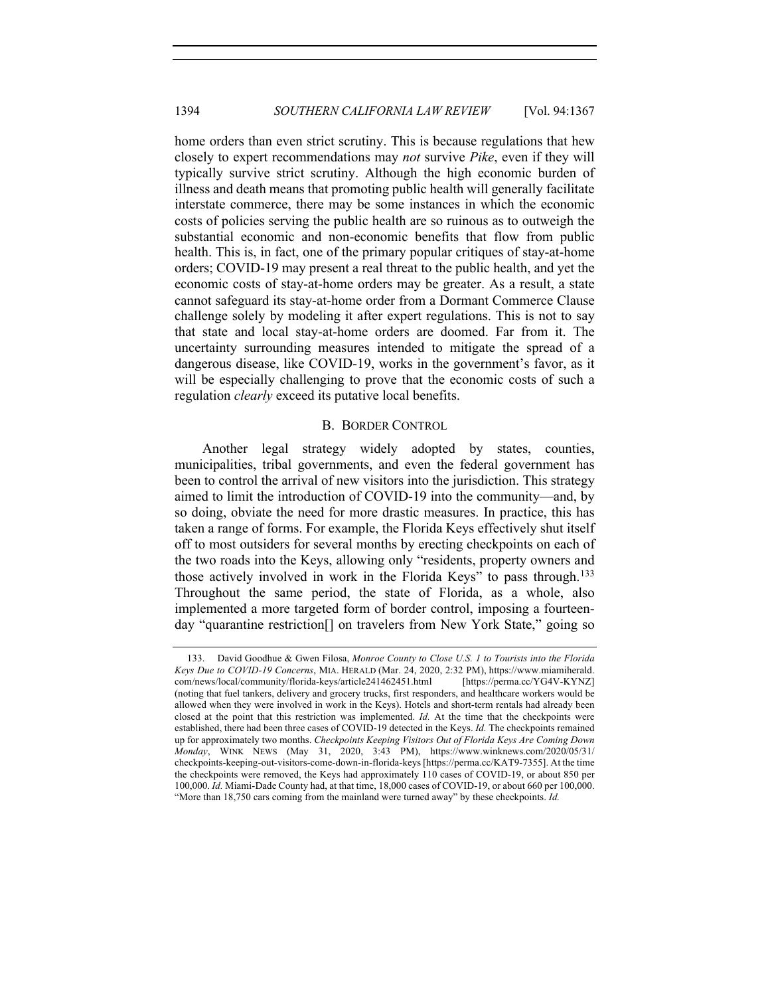home orders than even strict scrutiny. This is because regulations that hew closely to expert recommendations may *not* survive *Pike*, even if they will typically survive strict scrutiny. Although the high economic burden of illness and death means that promoting public health will generally facilitate interstate commerce, there may be some instances in which the economic costs of policies serving the public health are so ruinous as to outweigh the substantial economic and non-economic benefits that flow from public health. This is, in fact, one of the primary popular critiques of stay-at-home orders; COVID-19 may present a real threat to the public health, and yet the economic costs of stay-at-home orders may be greater. As a result, a state cannot safeguard its stay-at-home order from a Dormant Commerce Clause challenge solely by modeling it after expert regulations. This is not to say that state and local stay-at-home orders are doomed. Far from it. The uncertainty surrounding measures intended to mitigate the spread of a dangerous disease, like COVID-19, works in the government's favor, as it will be especially challenging to prove that the economic costs of such a regulation *clearly* exceed its putative local benefits.

## B. BORDER CONTROL

Another legal strategy widely adopted by states, counties, municipalities, tribal governments, and even the federal government has been to control the arrival of new visitors into the jurisdiction. This strategy aimed to limit the introduction of COVID-19 into the community—and, by so doing, obviate the need for more drastic measures. In practice, this has taken a range of forms. For example, the Florida Keys effectively shut itself off to most outsiders for several months by erecting checkpoints on each of the two roads into the Keys, allowing only "residents, property owners and those actively involved in work in the Florida Keys" to pass through.<sup>133</sup> Throughout the same period, the state of Florida, as a whole, also implemented a more targeted form of border control, imposing a fourteenday "quarantine restriction[] on travelers from New York State," going so

<sup>133.</sup> David Goodhue & Gwen Filosa, *Monroe County to Close U.S. 1 to Tourists into the Florida Keys Due to COVID-19 Concerns*, MIA. HERALD (Mar. 24, 2020, 2:32 PM), https://www.miamiherald. com/news/local/community/florida-keys/article241462451.html [https://perma.cc/YG4V-KYNZ] (noting that fuel tankers, delivery and grocery trucks, first responders, and healthcare workers would be allowed when they were involved in work in the Keys). Hotels and short-term rentals had already been closed at the point that this restriction was implemented. *Id*. At the time that the checkpoints were established, there had been three cases of COVID-19 detected in the Keys. *Id.* The checkpoints remained up for approximately two months. *Checkpoints Keeping Visitors Out of Florida Keys Are Coming Down Monday*, WINK NEWS (May 31, 2020, 3:43 PM), https://www.winknews.com/2020/05/31/ checkpoints-keeping-out-visitors-come-down-in-florida-keys [https://perma.cc/KAT9-7355]. At the time the checkpoints were removed, the Keys had approximately 110 cases of COVID-19, or about 850 per 100,000. *Id.* Miami-Dade County had, at that time, 18,000 cases of COVID-19, or about 660 per 100,000. "More than 18,750 cars coming from the mainland were turned away" by these checkpoints. *Id.*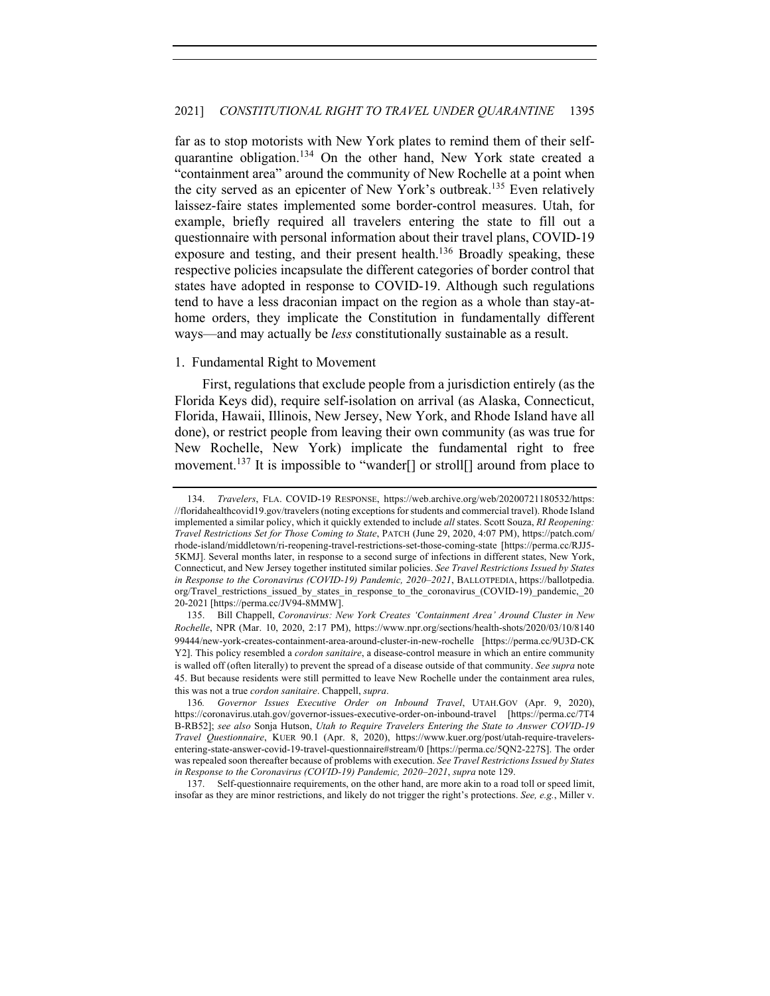far as to stop motorists with New York plates to remind them of their selfquarantine obligation.<sup>134</sup> On the other hand, New York state created a "containment area" around the community of New Rochelle at a point when the city served as an epicenter of New York's outbreak.<sup>135</sup> Even relatively laissez-faire states implemented some border-control measures. Utah, for example, briefly required all travelers entering the state to fill out a questionnaire with personal information about their travel plans, COVID-19 exposure and testing, and their present health. $136$  Broadly speaking, these respective policies incapsulate the different categories of border control that states have adopted in response to COVID-19. Although such regulations tend to have a less draconian impact on the region as a whole than stay-athome orders, they implicate the Constitution in fundamentally different ways—and may actually be *less* constitutionally sustainable as a result.

## 1. Fundamental Right to Movement

First, regulations that exclude people from a jurisdiction entirely (as the Florida Keys did), require self-isolation on arrival (as Alaska, Connecticut, Florida, Hawaii, Illinois, New Jersey, New York, and Rhode Island have all done), or restrict people from leaving their own community (as was true for New Rochelle, New York) implicate the fundamental right to free movement.<sup>137</sup> It is impossible to "wander<sup>[]</sup> or stroll<sup>[]</sup> around from place to

137. Self-questionnaire requirements, on the other hand, are more akin to a road toll or speed limit, insofar as they are minor restrictions, and likely do not trigger the right's protections. *See, e.g.*, Miller v.

<sup>134.</sup> *Travelers*, FLA. COVID-19 RESPONSE, https://web.archive.org/web/20200721180532/https: //floridahealthcovid19.gov/travelers (noting exceptions for students and commercial travel). Rhode Island implemented a similar policy, which it quickly extended to include *all* states. Scott Souza, *RI Reopening: Travel Restrictions Set for Those Coming to State*, PATCH (June 29, 2020, 4:07 PM), https://patch.com/ rhode-island/middletown/ri-reopening-travel-restrictions-set-those-coming-state [https://perma.cc/RJJ5- 5KMJ]. Several months later, in response to a second surge of infections in different states, New York, Connecticut, and New Jersey together instituted similar policies. *See Travel Restrictions Issued by States in Response to the Coronavirus (COVID-19) Pandemic, 2020–2021*, BALLOTPEDIA, https://ballotpedia. org/Travel restrictions issued by states in response to the coronavirus (COVID-19) pandemic, 20 20-2021 [https://perma.cc/JV94-8MMW].

<sup>135.</sup> Bill Chappell, *Coronavirus: New York Creates 'Containment Area' Around Cluster in New Rochelle*, NPR (Mar. 10, 2020, 2:17 PM), https://www.npr.org/sections/health-shots/2020/03/10/8140 99444/new-york-creates-containment-area-around-cluster-in-new-rochelle [https://perma.cc/9U3D-CK Y2]. This policy resembled a *cordon sanitaire*, a disease-control measure in which an entire community is walled off (often literally) to prevent the spread of a disease outside of that community. *See supra* note 45. But because residents were still permitted to leave New Rochelle under the containment area rules, this was not a true *cordon sanitaire*. Chappell, *supra*.

<sup>136</sup>*. Governor Issues Executive Order on Inbound Travel*, UTAH.GOV (Apr. 9, 2020), https://coronavirus.utah.gov/governor-issues-executive-order-on-inbound-travel [https://perma.cc/7T4 B-RB52]; *see also* Sonja Hutson, *Utah to Require Travelers Entering the State to Answer COVID-19 Travel Questionnaire*, KUER 90.1 (Apr. 8, 2020), https://www.kuer.org/post/utah-require-travelersentering-state-answer-covid-19-travel-questionnaire#stream/0 [https://perma.cc/5QN2-227S]. The order was repealed soon thereafter because of problems with execution. *See Travel Restrictions Issued by States in Response to the Coronavirus (COVID-19) Pandemic, 2020–2021*, *supra* note 129.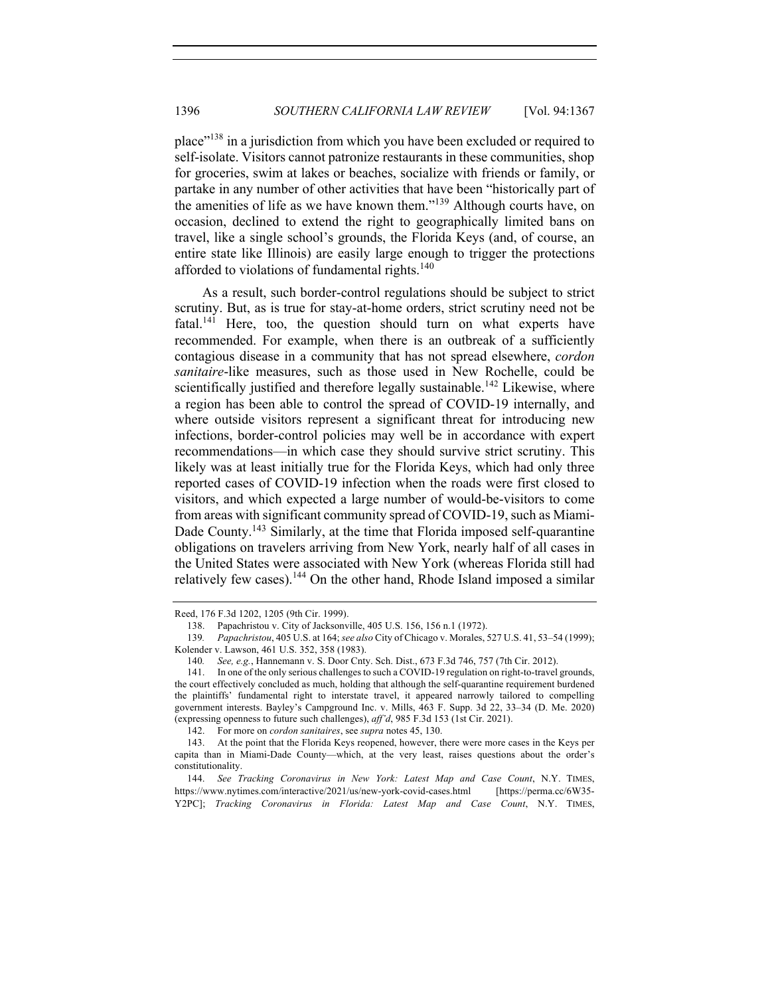place"<sup>138</sup> in a jurisdiction from which you have been excluded or required to self-isolate. Visitors cannot patronize restaurants in these communities, shop for groceries, swim at lakes or beaches, socialize with friends or family, or partake in any number of other activities that have been "historically part of the amenities of life as we have known them."139 Although courts have, on occasion, declined to extend the right to geographically limited bans on travel, like a single school's grounds, the Florida Keys (and, of course, an entire state like Illinois) are easily large enough to trigger the protections afforded to violations of fundamental rights.<sup>140</sup>

As a result, such border-control regulations should be subject to strict scrutiny. But, as is true for stay-at-home orders, strict scrutiny need not be fatal.<sup>141</sup> Here, too, the question should turn on what experts have recommended. For example, when there is an outbreak of a sufficiently contagious disease in a community that has not spread elsewhere, *cordon sanitaire*-like measures, such as those used in New Rochelle, could be scientifically justified and therefore legally sustainable.<sup>142</sup> Likewise, where a region has been able to control the spread of COVID-19 internally, and where outside visitors represent a significant threat for introducing new infections, border-control policies may well be in accordance with expert recommendations—in which case they should survive strict scrutiny. This likely was at least initially true for the Florida Keys, which had only three reported cases of COVID-19 infection when the roads were first closed to visitors, and which expected a large number of would-be-visitors to come from areas with significant community spread of COVID-19, such as Miami-Dade County.<sup>143</sup> Similarly, at the time that Florida imposed self-quarantine obligations on travelers arriving from New York, nearly half of all cases in the United States were associated with New York (whereas Florida still had relatively few cases).<sup>144</sup> On the other hand, Rhode Island imposed a similar

Reed, 176 F.3d 1202, 1205 (9th Cir. 1999).

<sup>138.</sup> Papachristou v. City of Jacksonville, 405 U.S. 156, 156 n.1 (1972).

<sup>139</sup>*. Papachristou*, 405 U.S. at 164; *see also* City of Chicago v. Morales, 527 U.S. 41, 53–54 (1999); Kolender v. Lawson, 461 U.S. 352, 358 (1983).

<sup>140</sup>*. See, e.g.*, Hannemann v. S. Door Cnty. Sch. Dist., 673 F.3d 746, 757 (7th Cir. 2012).

<sup>141.</sup> In one of the only serious challenges to such a COVID-19 regulation on right-to-travel grounds, the court effectively concluded as much, holding that although the self-quarantine requirement burdened the plaintiffs' fundamental right to interstate travel, it appeared narrowly tailored to compelling government interests. Bayley's Campground Inc. v. Mills, 463 F. Supp. 3d 22, 33–34 (D. Me. 2020) (expressing openness to future such challenges), *aff'd*, 985 F.3d 153 (1st Cir. 2021).

<sup>142.</sup> For more on *cordon sanitaires*, see *supra* notes 45, 130.

<sup>143.</sup> At the point that the Florida Keys reopened, however, there were more cases in the Keys per capita than in Miami-Dade County—which, at the very least, raises questions about the order's constitutionality.

<sup>144.</sup> *See Tracking Coronavirus in New York: Latest Map and Case Count*, N.Y. TIMES, https://www.nytimes.com/interactive/2021/us/new-york-covid-cases.html [https://perma.cc/6W35- Y2PC]; *Tracking Coronavirus in Florida: Latest Map and Case Count*, N.Y. TIMES,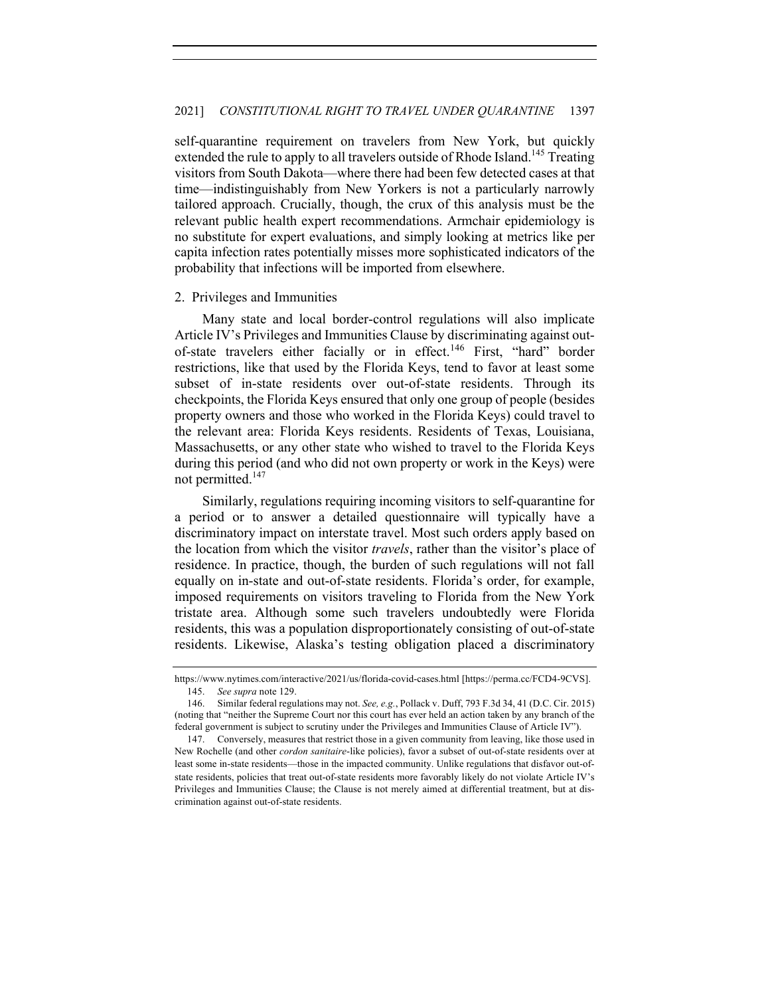self-quarantine requirement on travelers from New York, but quickly extended the rule to apply to all travelers outside of Rhode Island.<sup>145</sup> Treating visitors from South Dakota—where there had been few detected cases at that time—indistinguishably from New Yorkers is not a particularly narrowly tailored approach. Crucially, though, the crux of this analysis must be the relevant public health expert recommendations. Armchair epidemiology is no substitute for expert evaluations, and simply looking at metrics like per capita infection rates potentially misses more sophisticated indicators of the probability that infections will be imported from elsewhere.

## 2. Privileges and Immunities

Many state and local border-control regulations will also implicate Article IV's Privileges and Immunities Clause by discriminating against outof-state travelers either facially or in effect.<sup>146</sup> First, "hard" border restrictions, like that used by the Florida Keys, tend to favor at least some subset of in-state residents over out-of-state residents. Through its checkpoints, the Florida Keys ensured that only one group of people (besides property owners and those who worked in the Florida Keys) could travel to the relevant area: Florida Keys residents. Residents of Texas, Louisiana, Massachusetts, or any other state who wished to travel to the Florida Keys during this period (and who did not own property or work in the Keys) were not permitted.<sup>147</sup>

Similarly, regulations requiring incoming visitors to self-quarantine for a period or to answer a detailed questionnaire will typically have a discriminatory impact on interstate travel. Most such orders apply based on the location from which the visitor *travels*, rather than the visitor's place of residence. In practice, though, the burden of such regulations will not fall equally on in-state and out-of-state residents. Florida's order, for example, imposed requirements on visitors traveling to Florida from the New York tristate area. Although some such travelers undoubtedly were Florida residents, this was a population disproportionately consisting of out-of-state residents. Likewise, Alaska's testing obligation placed a discriminatory

https://www.nytimes.com/interactive/2021/us/florida-covid-cases.html [https://perma.cc/FCD4-9CVS]. 145. *See supra* note 129.

<sup>146.</sup> Similar federal regulations may not. *See, e.g.*, Pollack v. Duff, 793 F.3d 34, 41 (D.C. Cir. 2015) (noting that "neither the Supreme Court nor this court has ever held an action taken by any branch of the federal government is subject to scrutiny under the Privileges and Immunities Clause of Article IV").

<sup>147.</sup> Conversely, measures that restrict those in a given community from leaving, like those used in New Rochelle (and other *cordon sanitaire*-like policies), favor a subset of out-of-state residents over at least some in-state residents—those in the impacted community. Unlike regulations that disfavor out-ofstate residents, policies that treat out-of-state residents more favorably likely do not violate Article IV's Privileges and Immunities Clause; the Clause is not merely aimed at differential treatment, but at discrimination against out-of-state residents.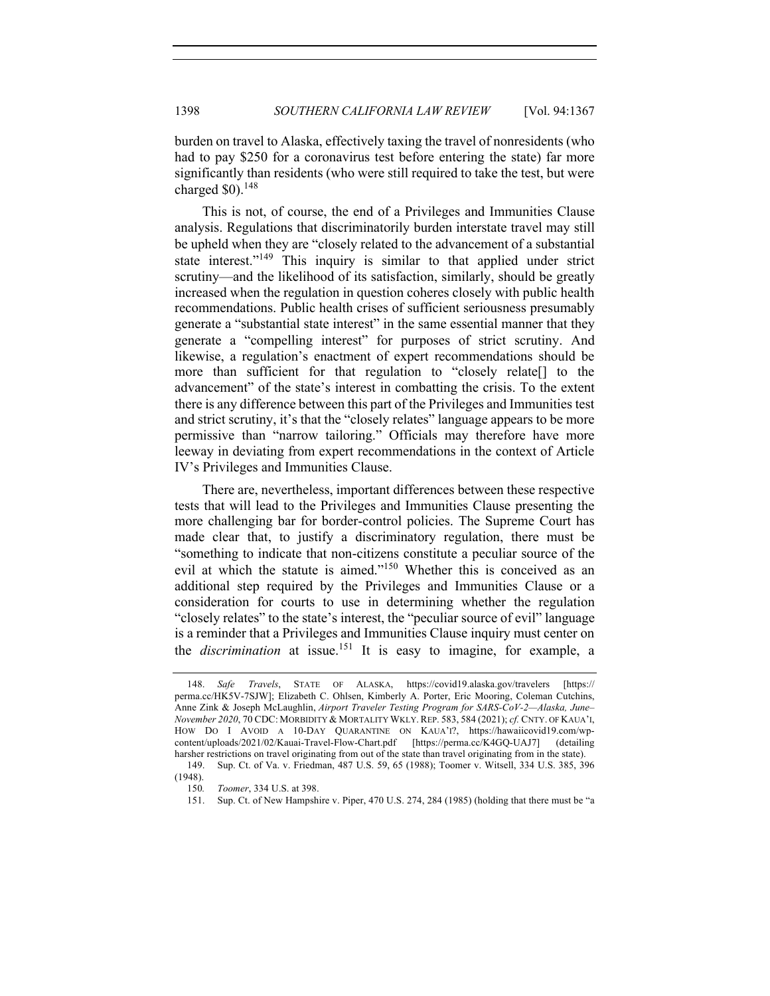burden on travel to Alaska, effectively taxing the travel of nonresidents (who had to pay \$250 for a coronavirus test before entering the state) far more significantly than residents (who were still required to take the test, but were charged  $$0$ ).<sup>148</sup>

This is not, of course, the end of a Privileges and Immunities Clause analysis. Regulations that discriminatorily burden interstate travel may still be upheld when they are "closely related to the advancement of a substantial state interest."<sup>149</sup> This inquiry is similar to that applied under strict scrutiny—and the likelihood of its satisfaction, similarly, should be greatly increased when the regulation in question coheres closely with public health recommendations. Public health crises of sufficient seriousness presumably generate a "substantial state interest" in the same essential manner that they generate a "compelling interest" for purposes of strict scrutiny. And likewise, a regulation's enactment of expert recommendations should be more than sufficient for that regulation to "closely relate[] to the advancement" of the state's interest in combatting the crisis. To the extent there is any difference between this part of the Privileges and Immunities test and strict scrutiny, it's that the "closely relates" language appears to be more permissive than "narrow tailoring." Officials may therefore have more leeway in deviating from expert recommendations in the context of Article IV's Privileges and Immunities Clause.

There are, nevertheless, important differences between these respective tests that will lead to the Privileges and Immunities Clause presenting the more challenging bar for border-control policies. The Supreme Court has made clear that, to justify a discriminatory regulation, there must be "something to indicate that non-citizens constitute a peculiar source of the evil at which the statute is aimed."<sup>150</sup> Whether this is conceived as an additional step required by the Privileges and Immunities Clause or a consideration for courts to use in determining whether the regulation "closely relates" to the state's interest, the "peculiar source of evil" language is a reminder that a Privileges and Immunities Clause inquiry must center on the *discrimination* at issue.<sup>151</sup> It is easy to imagine, for example, a

<sup>148.</sup> *Safe Travels*, STATE OF ALASKA, https://covid19.alaska.gov/travelers [https:// perma.cc/HK5V-7SJW]; Elizabeth C. Ohlsen, Kimberly A. Porter, Eric Mooring, Coleman Cutchins, Anne Zink & Joseph McLaughlin, *Airport Traveler Testing Program for SARS-CoV-2—Alaska, June– November 2020*, 70 CDC: MORBIDITY & MORTALITY WKLY.REP. 583, 584 (2021); *cf.* CNTY. OF KAUA'I, HOW DO I AVOID A 10-DAY QUARANTINE ON KAUA'I?, https://hawaiicovid19.com/wpcontent/uploads/2021/02/Kauai-Travel-Flow-Chart.pdf [https://perma.cc/K4GQ-UAJ7] (detailing harsher restrictions on travel originating from out of the state than travel originating from in the state). 149. Sup. Ct. of Va. v. Friedman, 487 U.S. 59, 65 (1988); Toomer v. Witsell, 334 U.S. 385, 396

<sup>(1948).</sup>

<sup>150</sup>*. Toomer*, 334 U.S. at 398.

<sup>151.</sup> Sup. Ct. of New Hampshire v. Piper, 470 U.S. 274, 284 (1985) (holding that there must be "a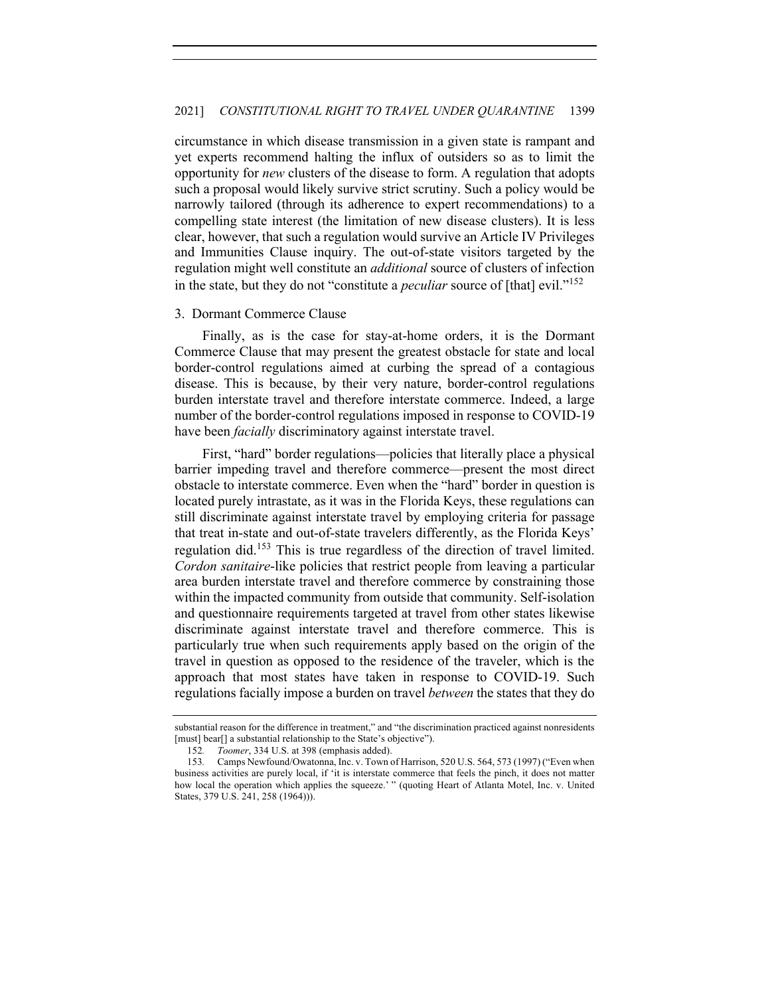circumstance in which disease transmission in a given state is rampant and yet experts recommend halting the influx of outsiders so as to limit the opportunity for *new* clusters of the disease to form. A regulation that adopts such a proposal would likely survive strict scrutiny. Such a policy would be narrowly tailored (through its adherence to expert recommendations) to a compelling state interest (the limitation of new disease clusters). It is less clear, however, that such a regulation would survive an Article IV Privileges and Immunities Clause inquiry. The out-of-state visitors targeted by the regulation might well constitute an *additional* source of clusters of infection in the state, but they do not "constitute a *peculiar* source of [that] evil."<sup>152</sup>

#### 3. Dormant Commerce Clause

Finally, as is the case for stay-at-home orders, it is the Dormant Commerce Clause that may present the greatest obstacle for state and local border-control regulations aimed at curbing the spread of a contagious disease. This is because, by their very nature, border-control regulations burden interstate travel and therefore interstate commerce. Indeed, a large number of the border-control regulations imposed in response to COVID-19 have been *facially* discriminatory against interstate travel.

First, "hard" border regulations—policies that literally place a physical barrier impeding travel and therefore commerce—present the most direct obstacle to interstate commerce. Even when the "hard" border in question is located purely intrastate, as it was in the Florida Keys, these regulations can still discriminate against interstate travel by employing criteria for passage that treat in-state and out-of-state travelers differently, as the Florida Keys' regulation did.<sup>153</sup> This is true regardless of the direction of travel limited. *Cordon sanitaire*-like policies that restrict people from leaving a particular area burden interstate travel and therefore commerce by constraining those within the impacted community from outside that community. Self-isolation and questionnaire requirements targeted at travel from other states likewise discriminate against interstate travel and therefore commerce. This is particularly true when such requirements apply based on the origin of the travel in question as opposed to the residence of the traveler, which is the approach that most states have taken in response to COVID-19. Such regulations facially impose a burden on travel *between* the states that they do

substantial reason for the difference in treatment," and "the discrimination practiced against nonresidents [must] bear[] a substantial relationship to the State's objective").

<sup>152</sup>*. Toomer*, 334 U.S. at 398 (emphasis added).

<sup>153</sup>*.* Camps Newfound/Owatonna, Inc. v. Town of Harrison, 520 U.S. 564, 573 (1997) ("Even when business activities are purely local, if 'it is interstate commerce that feels the pinch, it does not matter how local the operation which applies the squeeze.' " (quoting Heart of Atlanta Motel, Inc. v. United States, 379 U.S. 241, 258 (1964))).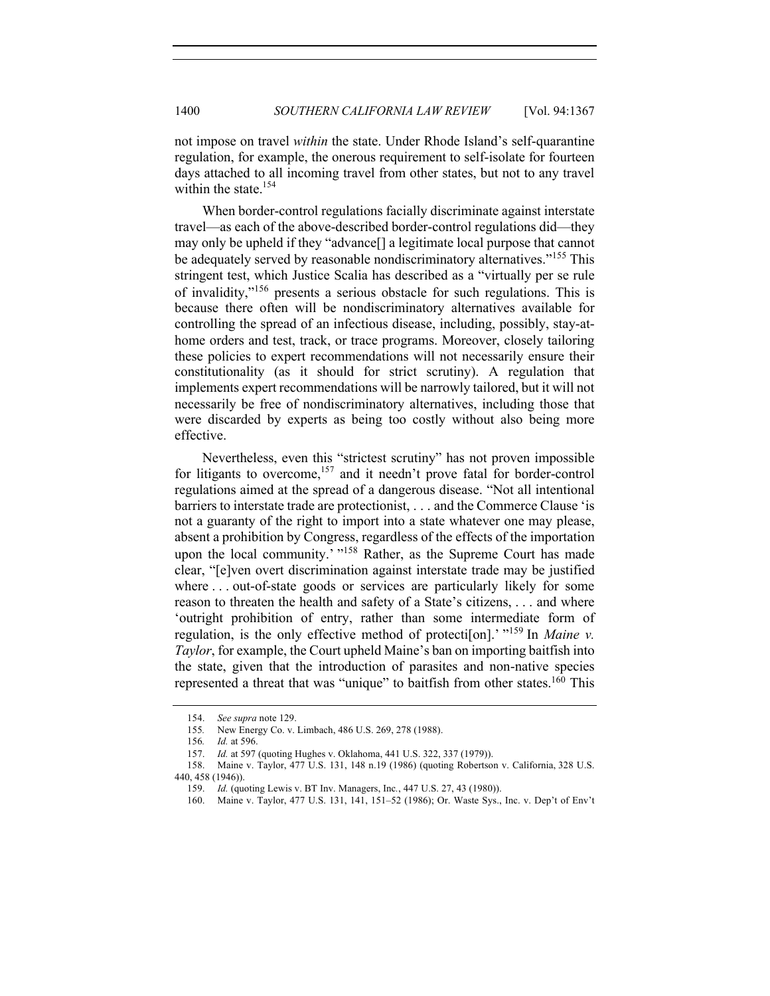not impose on travel *within* the state. Under Rhode Island's self-quarantine regulation, for example, the onerous requirement to self-isolate for fourteen days attached to all incoming travel from other states, but not to any travel within the state.<sup>154</sup>

When border-control regulations facially discriminate against interstate travel—as each of the above-described border-control regulations did—they may only be upheld if they "advance[] a legitimate local purpose that cannot be adequately served by reasonable nondiscriminatory alternatives."<sup>155</sup> This stringent test, which Justice Scalia has described as a "virtually per se rule of invalidity,"156 presents a serious obstacle for such regulations. This is because there often will be nondiscriminatory alternatives available for controlling the spread of an infectious disease, including, possibly, stay-athome orders and test, track, or trace programs. Moreover, closely tailoring these policies to expert recommendations will not necessarily ensure their constitutionality (as it should for strict scrutiny). A regulation that implements expert recommendations will be narrowly tailored, but it will not necessarily be free of nondiscriminatory alternatives, including those that were discarded by experts as being too costly without also being more effective.

Nevertheless, even this "strictest scrutiny" has not proven impossible for litigants to overcome,<sup>157</sup> and it needn't prove fatal for border-control regulations aimed at the spread of a dangerous disease. "Not all intentional barriers to interstate trade are protectionist, . . . and the Commerce Clause 'is not a guaranty of the right to import into a state whatever one may please, absent a prohibition by Congress, regardless of the effects of the importation upon the local community.' "<sup>158</sup> Rather, as the Supreme Court has made clear, "[e]ven overt discrimination against interstate trade may be justified where ... out-of-state goods or services are particularly likely for some reason to threaten the health and safety of a State's citizens, . . . and where 'outright prohibition of entry, rather than some intermediate form of regulation, is the only effective method of protection].<sup>'</sup> "<sup>159</sup> In *Maine v*. *Taylor*, for example, the Court upheld Maine's ban on importing baitfish into the state, given that the introduction of parasites and non-native species represented a threat that was "unique" to baitfish from other states.<sup>160</sup> This

<sup>154.</sup> *See supra* note 129.

<sup>155</sup>*.* New Energy Co. v. Limbach, 486 U.S. 269, 278 (1988).

<sup>156</sup>*. Id.* at 596.

<sup>157.</sup> *Id.* at 597 (quoting Hughes v. Oklahoma, 441 U.S. 322, 337 (1979)).

<sup>158.</sup> Maine v. Taylor, 477 U.S. 131, 148 n.19 (1986) (quoting Robertson v. California, 328 U.S. 440, 458 (1946)).

<sup>159.</sup> *Id.* (quoting Lewis v. BT Inv. Managers, Inc*.*, 447 U.S. 27, 43 (1980)).

<sup>160.</sup> Maine v. Taylor, 477 U.S. 131, 141, 151–52 (1986); Or. Waste Sys., Inc. v. Dep't of Env't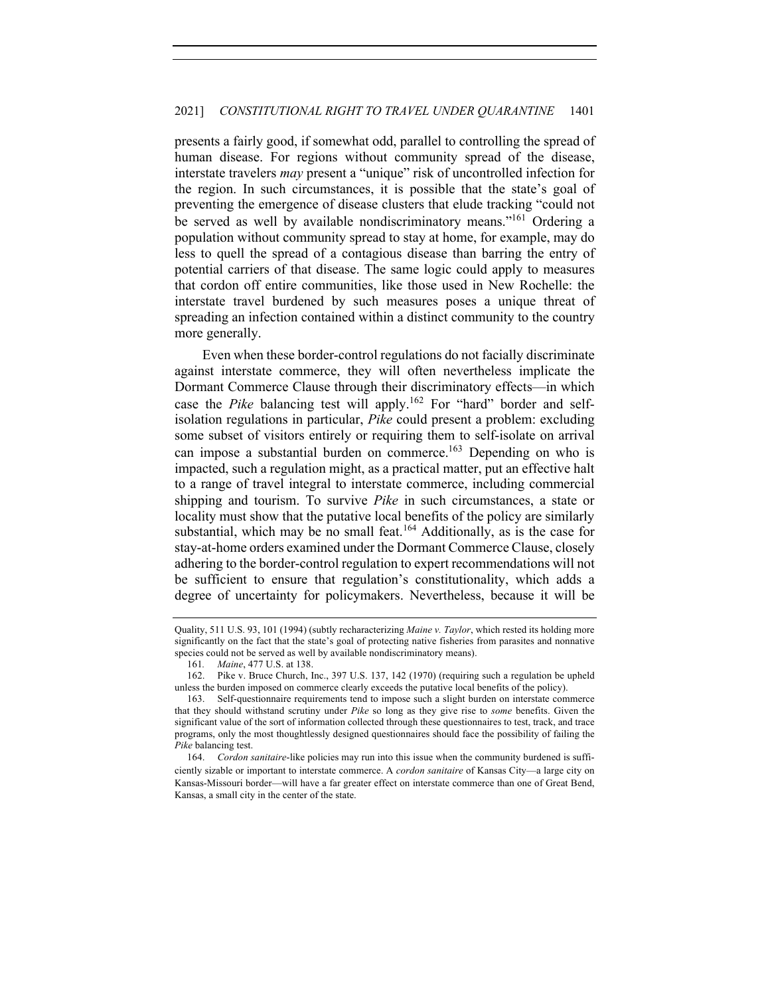presents a fairly good, if somewhat odd, parallel to controlling the spread of human disease. For regions without community spread of the disease, interstate travelers *may* present a "unique" risk of uncontrolled infection for the region. In such circumstances, it is possible that the state's goal of preventing the emergence of disease clusters that elude tracking "could not be served as well by available nondiscriminatory means."<sup>161</sup> Ordering a population without community spread to stay at home, for example, may do less to quell the spread of a contagious disease than barring the entry of potential carriers of that disease. The same logic could apply to measures that cordon off entire communities, like those used in New Rochelle: the interstate travel burdened by such measures poses a unique threat of spreading an infection contained within a distinct community to the country more generally.

Even when these border-control regulations do not facially discriminate against interstate commerce, they will often nevertheless implicate the Dormant Commerce Clause through their discriminatory effects—in which case the *Pike* balancing test will apply.<sup>162</sup> For "hard" border and selfisolation regulations in particular, *Pike* could present a problem: excluding some subset of visitors entirely or requiring them to self-isolate on arrival can impose a substantial burden on commerce.<sup>163</sup> Depending on who is impacted, such a regulation might, as a practical matter, put an effective halt to a range of travel integral to interstate commerce, including commercial shipping and tourism. To survive *Pike* in such circumstances, a state or locality must show that the putative local benefits of the policy are similarly substantial, which may be no small feat.<sup>164</sup> Additionally, as is the case for stay-at-home orders examined under the Dormant Commerce Clause, closely adhering to the border-control regulation to expert recommendations will not be sufficient to ensure that regulation's constitutionality, which adds a degree of uncertainty for policymakers. Nevertheless, because it will be

Quality, 511 U.S. 93, 101 (1994) (subtly recharacterizing *Maine v. Taylor*, which rested its holding more significantly on the fact that the state's goal of protecting native fisheries from parasites and nonnative species could not be served as well by available nondiscriminatory means).

<sup>161</sup>*. Maine*, 477 U.S. at 138.

<sup>162.</sup> Pike v. Bruce Church, Inc., 397 U.S. 137, 142 (1970) (requiring such a regulation be upheld unless the burden imposed on commerce clearly exceeds the putative local benefits of the policy).

<sup>163.</sup> Self-questionnaire requirements tend to impose such a slight burden on interstate commerce that they should withstand scrutiny under *Pike* so long as they give rise to *some* benefits. Given the significant value of the sort of information collected through these questionnaires to test, track, and trace programs, only the most thoughtlessly designed questionnaires should face the possibility of failing the *Pike* balancing test.

<sup>164.</sup> *Cordon sanitaire*-like policies may run into this issue when the community burdened is sufficiently sizable or important to interstate commerce. A *cordon sanitaire* of Kansas City—a large city on Kansas-Missouri border—will have a far greater effect on interstate commerce than one of Great Bend, Kansas, a small city in the center of the state.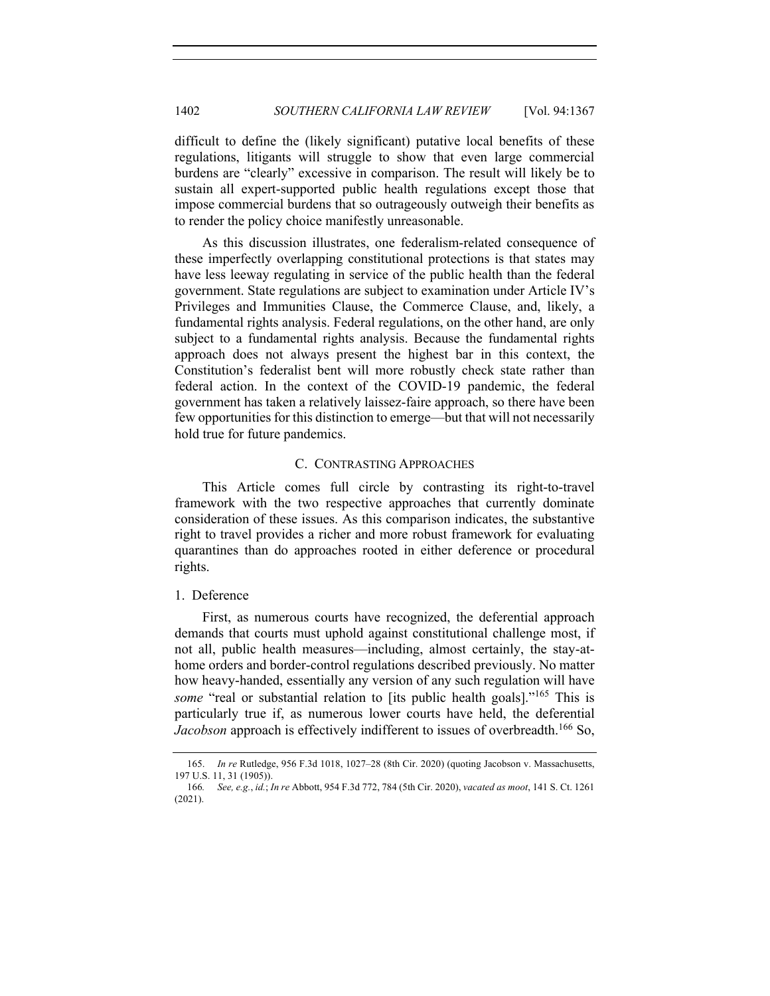difficult to define the (likely significant) putative local benefits of these regulations, litigants will struggle to show that even large commercial burdens are "clearly" excessive in comparison. The result will likely be to sustain all expert-supported public health regulations except those that impose commercial burdens that so outrageously outweigh their benefits as to render the policy choice manifestly unreasonable.

As this discussion illustrates, one federalism-related consequence of these imperfectly overlapping constitutional protections is that states may have less leeway regulating in service of the public health than the federal government. State regulations are subject to examination under Article IV's Privileges and Immunities Clause, the Commerce Clause, and, likely, a fundamental rights analysis. Federal regulations, on the other hand, are only subject to a fundamental rights analysis. Because the fundamental rights approach does not always present the highest bar in this context, the Constitution's federalist bent will more robustly check state rather than federal action. In the context of the COVID-19 pandemic, the federal government has taken a relatively laissez-faire approach, so there have been few opportunities for this distinction to emerge—but that will not necessarily hold true for future pandemics.

## C. CONTRASTING APPROACHES

This Article comes full circle by contrasting its right-to-travel framework with the two respective approaches that currently dominate consideration of these issues. As this comparison indicates, the substantive right to travel provides a richer and more robust framework for evaluating quarantines than do approaches rooted in either deference or procedural rights.

## 1. Deference

First, as numerous courts have recognized, the deferential approach demands that courts must uphold against constitutional challenge most, if not all, public health measures—including, almost certainly, the stay-athome orders and border-control regulations described previously. No matter how heavy-handed, essentially any version of any such regulation will have *some* "real or substantial relation to [its public health goals]."<sup>165</sup> This is particularly true if, as numerous lower courts have held, the deferential *Jacobson* approach is effectively indifferent to issues of overbreadth.<sup>166</sup> So,

<sup>165.</sup> *In re* Rutledge, 956 F.3d 1018, 1027–28 (8th Cir. 2020) (quoting Jacobson v. Massachusetts, 197 U.S. 11, 31 (1905)).

<sup>166</sup>*. See, e.g.*, *id.*; *In re* Abbott, 954 F.3d 772, 784 (5th Cir. 2020), *vacated as moot*, 141 S. Ct. 1261 (2021).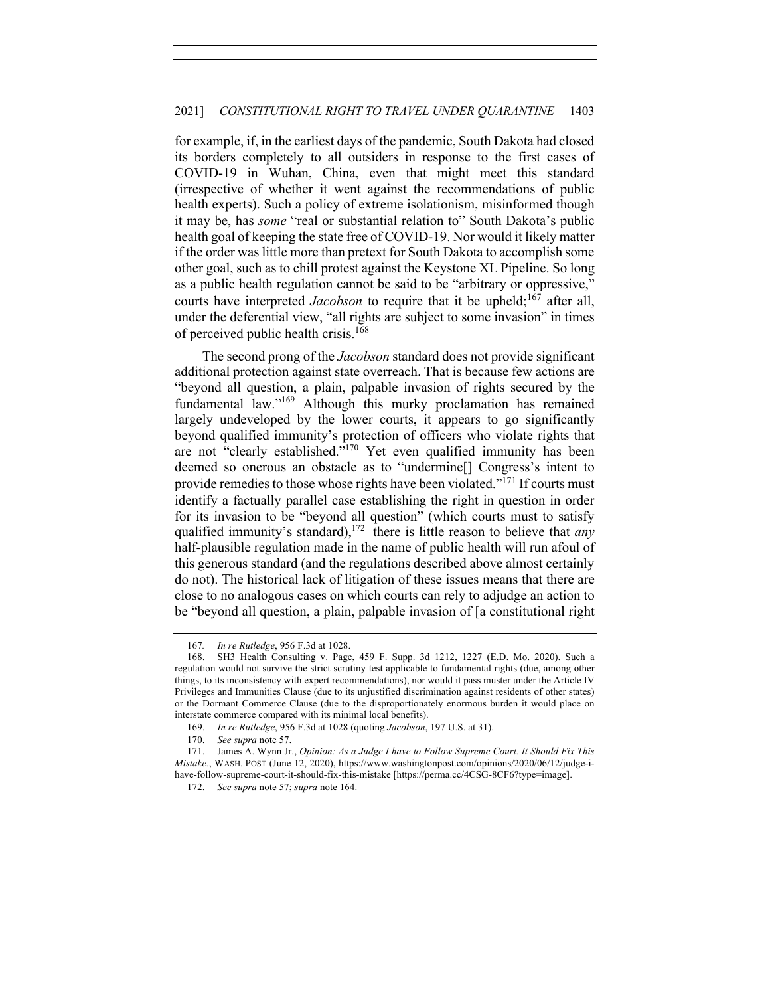for example, if, in the earliest days of the pandemic, South Dakota had closed its borders completely to all outsiders in response to the first cases of COVID-19 in Wuhan, China, even that might meet this standard (irrespective of whether it went against the recommendations of public health experts). Such a policy of extreme isolationism, misinformed though it may be, has *some* "real or substantial relation to" South Dakota's public health goal of keeping the state free of COVID-19. Nor would it likely matter if the order was little more than pretext for South Dakota to accomplish some other goal, such as to chill protest against the Keystone XL Pipeline. So long as a public health regulation cannot be said to be "arbitrary or oppressive," courts have interpreted *Jacobson* to require that it be upheld;<sup>167</sup> after all, under the deferential view, "all rights are subject to some invasion" in times of perceived public health crisis.<sup>168</sup>

The second prong of the *Jacobson* standard does not provide significant additional protection against state overreach. That is because few actions are "beyond all question, a plain, palpable invasion of rights secured by the fundamental law."<sup>169</sup> Although this murky proclamation has remained largely undeveloped by the lower courts, it appears to go significantly beyond qualified immunity's protection of officers who violate rights that are not "clearly established."<sup>170</sup> Yet even qualified immunity has been deemed so onerous an obstacle as to "undermine[] Congress's intent to provide remedies to those whose rights have been violated."<sup>171</sup> If courts must identify a factually parallel case establishing the right in question in order for its invasion to be "beyond all question" (which courts must to satisfy qualified immunity's standard), <sup>172</sup> there is little reason to believe that *any* half-plausible regulation made in the name of public health will run afoul of this generous standard (and the regulations described above almost certainly do not). The historical lack of litigation of these issues means that there are close to no analogous cases on which courts can rely to adjudge an action to be "beyond all question, a plain, palpable invasion of [a constitutional right

<sup>167</sup>*. In re Rutledge*, 956 F.3d at 1028.

<sup>168.</sup> SH3 Health Consulting v. Page, 459 F. Supp. 3d 1212, 1227 (E.D. Mo. 2020). Such a regulation would not survive the strict scrutiny test applicable to fundamental rights (due, among other things, to its inconsistency with expert recommendations), nor would it pass muster under the Article IV Privileges and Immunities Clause (due to its unjustified discrimination against residents of other states) or the Dormant Commerce Clause (due to the disproportionately enormous burden it would place on interstate commerce compared with its minimal local benefits).

<sup>169.</sup> *In re Rutledge*, 956 F.3d at 1028 (quoting *Jacobson*, 197 U.S. at 31).

<sup>170.</sup> *See supra* note 57.

<sup>171.</sup> James A. Wynn Jr., *Opinion: As a Judge I have to Follow Supreme Court. It Should Fix This Mistake.*, WASH. POST (June 12, 2020), https://www.washingtonpost.com/opinions/2020/06/12/judge-ihave-follow-supreme-court-it-should-fix-this-mistake [https://perma.cc/4CSG-8CF6?type=image].

<sup>172.</sup> *See supra* note 57; *supra* note 164.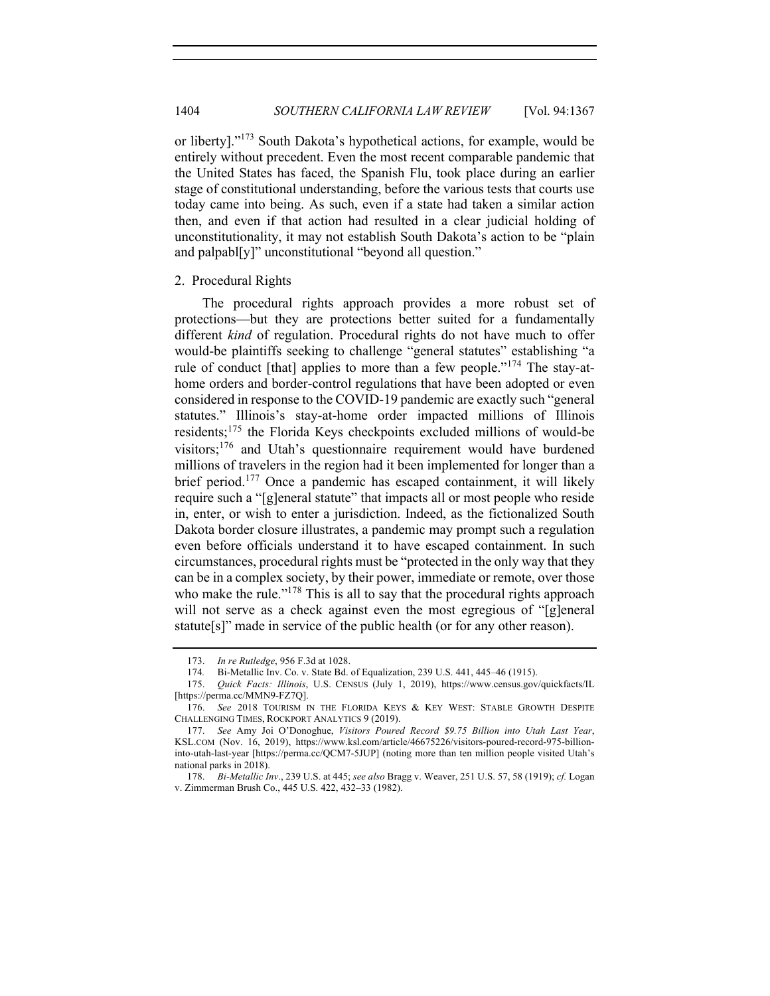or liberty]."<sup>173</sup> South Dakota's hypothetical actions, for example, would be entirely without precedent. Even the most recent comparable pandemic that the United States has faced, the Spanish Flu, took place during an earlier stage of constitutional understanding, before the various tests that courts use today came into being. As such, even if a state had taken a similar action then, and even if that action had resulted in a clear judicial holding of unconstitutionality, it may not establish South Dakota's action to be "plain and palpabl[y]" unconstitutional "beyond all question."

## 2. Procedural Rights

The procedural rights approach provides a more robust set of protections—but they are protections better suited for a fundamentally different *kind* of regulation. Procedural rights do not have much to offer would-be plaintiffs seeking to challenge "general statutes" establishing "a rule of conduct [that] applies to more than a few people."<sup>174</sup> The stay-athome orders and border-control regulations that have been adopted or even considered in response to the COVID-19 pandemic are exactly such "general statutes." Illinois's stay-at-home order impacted millions of Illinois residents;<sup>175</sup> the Florida Keys checkpoints excluded millions of would-be visitors;<sup>176</sup> and Utah's questionnaire requirement would have burdened millions of travelers in the region had it been implemented for longer than a brief period.177 Once a pandemic has escaped containment, it will likely require such a "[g]eneral statute" that impacts all or most people who reside in, enter, or wish to enter a jurisdiction. Indeed, as the fictionalized South Dakota border closure illustrates, a pandemic may prompt such a regulation even before officials understand it to have escaped containment. In such circumstances, procedural rights must be "protected in the only way that they can be in a complex society, by their power, immediate or remote, over those who make the rule."<sup>178</sup> This is all to say that the procedural rights approach will not serve as a check against even the most egregious of "[g]eneral statute[s]" made in service of the public health (or for any other reason).

<sup>173.</sup> *In re Rutledge*, 956 F.3d at 1028.

<sup>174</sup>*.* Bi-Metallic Inv. Co. v. State Bd. of Equalization, 239 U.S. 441, 445–46 (1915).

<sup>175.</sup> *Quick Facts: Illinois*, U.S. CENSUS (July 1, 2019), https://www.census.gov/quickfacts/IL [https://perma.cc/MMN9-FZ7Q].

<sup>176.</sup> *See* 2018 TOURISM IN THE FLORIDA KEYS & KEY WEST: STABLE GROWTH DESPITE CHALLENGING TIMES, ROCKPORT ANALYTICS 9 (2019).

<sup>177.</sup> *See* Amy Joi O'Donoghue, *Visitors Poured Record \$9.75 Billion into Utah Last Year*, KSL.COM (Nov. 16, 2019), https://www.ksl.com/article/46675226/visitors-poured-record-975-billioninto-utah-last-year [https://perma.cc/QCM7-5JUP] (noting more than ten million people visited Utah's national parks in 2018).

<sup>178.</sup> *Bi-Metallic Inv*., 239 U.S. at 445; *see also* Bragg v. Weaver, 251 U.S. 57, 58 (1919); *cf.* Logan v. Zimmerman Brush Co., 445 U.S. 422, 432–33 (1982).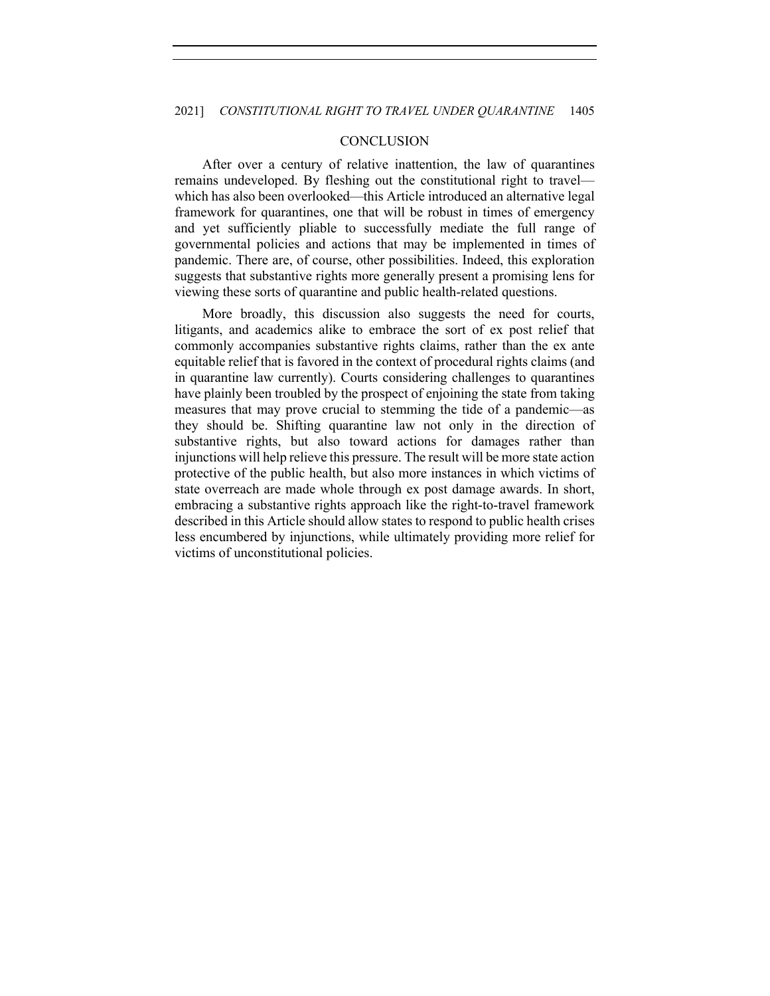## **CONCLUSION**

After over a century of relative inattention, the law of quarantines remains undeveloped. By fleshing out the constitutional right to travel which has also been overlooked—this Article introduced an alternative legal framework for quarantines, one that will be robust in times of emergency and yet sufficiently pliable to successfully mediate the full range of governmental policies and actions that may be implemented in times of pandemic. There are, of course, other possibilities. Indeed, this exploration suggests that substantive rights more generally present a promising lens for viewing these sorts of quarantine and public health-related questions.

More broadly, this discussion also suggests the need for courts, litigants, and academics alike to embrace the sort of ex post relief that commonly accompanies substantive rights claims, rather than the ex ante equitable relief that is favored in the context of procedural rights claims (and in quarantine law currently). Courts considering challenges to quarantines have plainly been troubled by the prospect of enjoining the state from taking measures that may prove crucial to stemming the tide of a pandemic—as they should be. Shifting quarantine law not only in the direction of substantive rights, but also toward actions for damages rather than injunctions will help relieve this pressure. The result will be more state action protective of the public health, but also more instances in which victims of state overreach are made whole through ex post damage awards. In short, embracing a substantive rights approach like the right-to-travel framework described in this Article should allow states to respond to public health crises less encumbered by injunctions, while ultimately providing more relief for victims of unconstitutional policies.